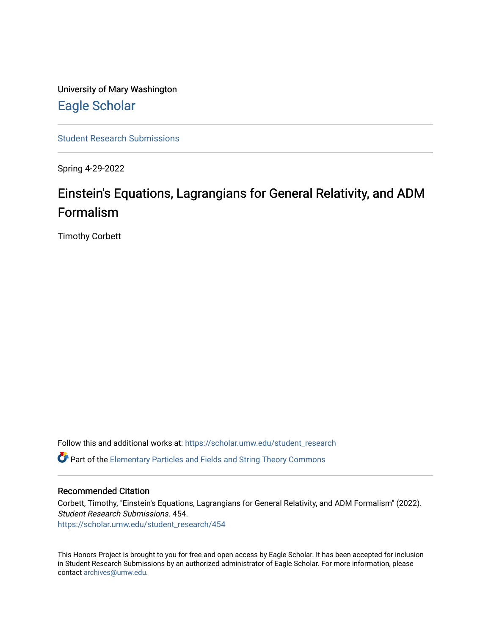University of Mary Washington [Eagle Scholar](https://scholar.umw.edu/) 

[Student Research Submissions](https://scholar.umw.edu/student_research) 

Spring 4-29-2022

# Einstein's Equations, Lagrangians for General Relativity, and ADM Formalism

Timothy Corbett

Follow this and additional works at: [https://scholar.umw.edu/student\\_research](https://scholar.umw.edu/student_research?utm_source=scholar.umw.edu%2Fstudent_research%2F454&utm_medium=PDF&utm_campaign=PDFCoverPages) **P** Part of the [Elementary Particles and Fields and String Theory Commons](https://network.bepress.com/hgg/discipline/199?utm_source=scholar.umw.edu%2Fstudent_research%2F454&utm_medium=PDF&utm_campaign=PDFCoverPages)

## Recommended Citation

Corbett, Timothy, "Einstein's Equations, Lagrangians for General Relativity, and ADM Formalism" (2022). Student Research Submissions. 454. [https://scholar.umw.edu/student\\_research/454](https://scholar.umw.edu/student_research/454?utm_source=scholar.umw.edu%2Fstudent_research%2F454&utm_medium=PDF&utm_campaign=PDFCoverPages)

This Honors Project is brought to you for free and open access by Eagle Scholar. It has been accepted for inclusion in Student Research Submissions by an authorized administrator of Eagle Scholar. For more information, please contact [archives@umw.edu](mailto:archives@umw.edu).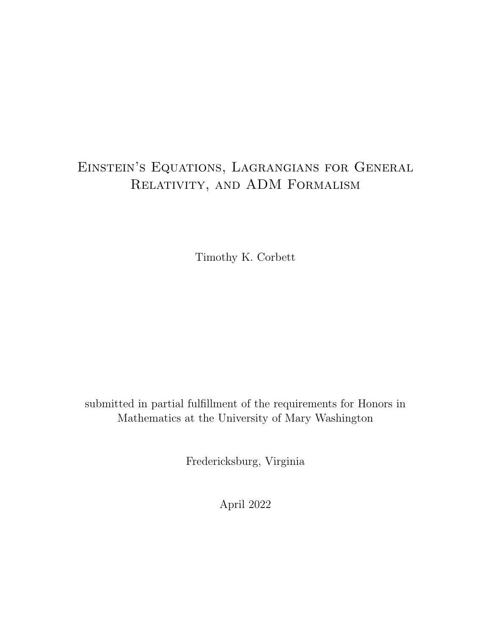# Einstein's Equations, Lagrangians for General Relativity, and ADM Formalism

Timothy K. Corbett

submitted in partial fulfillment of the requirements for Honors in Mathematics at the University of Mary Washington

Fredericksburg, Virginia

April 2022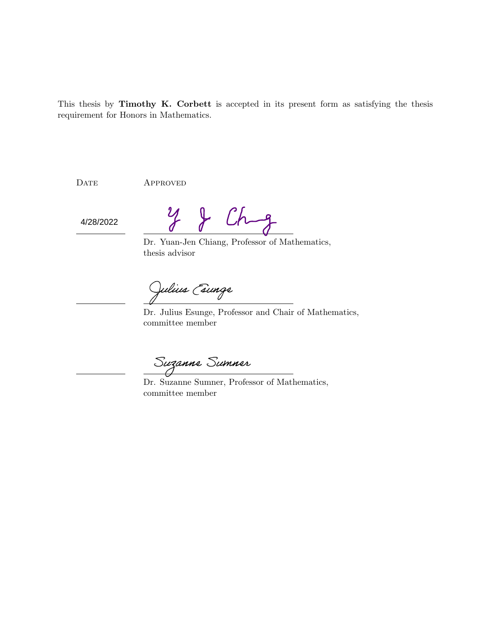This thesis by Timothy K. Corbett is accepted in its present form as satisfying the thesis requirement for Honors in Mathematics.

DATE APPROVED

4/28/2022

 $\int f(h-g)$  $\mathcal{Y}$ 

Dr. Yuan-Jen Chiang, Professor of Mathematics, thesis advisor

Julius Esunge

Dr. Julius Esunge, Professor and Chair of Mathematics, committee member

Suzanne Sumner

Dr. Suzanne Sumner, Professor of Mathematics, committee member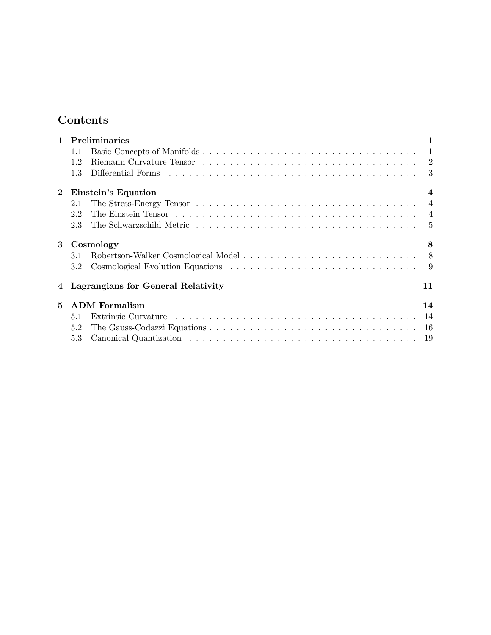# Contents

| $\mathbf{1}$ |                                    | <b>Preliminaries</b>                                                                                                                                                                                                           |                |  |  |
|--------------|------------------------------------|--------------------------------------------------------------------------------------------------------------------------------------------------------------------------------------------------------------------------------|----------------|--|--|
|              | 1.1                                |                                                                                                                                                                                                                                | $\mathbf{1}$   |  |  |
|              | 1.2                                | Riemann Curvature Tensor (a) and a contract the contract of the contract of the contract of the contract of the contract of the contract of the contract of the contract of the contract of the contract of the contract of th |                |  |  |
|              | 1.3                                |                                                                                                                                                                                                                                |                |  |  |
| $\bf{2}$     | Einstein's Equation                |                                                                                                                                                                                                                                |                |  |  |
|              | 2.1                                |                                                                                                                                                                                                                                | $\overline{4}$ |  |  |
|              | 2.2                                |                                                                                                                                                                                                                                |                |  |  |
|              | 2.3                                |                                                                                                                                                                                                                                | -5             |  |  |
| 3            | Cosmology<br>8                     |                                                                                                                                                                                                                                |                |  |  |
|              | 3.1                                |                                                                                                                                                                                                                                |                |  |  |
|              | 3.2                                |                                                                                                                                                                                                                                |                |  |  |
| 4            | Lagrangians for General Relativity |                                                                                                                                                                                                                                | 11             |  |  |
| 5            | <b>ADM</b> Formalism<br>14         |                                                                                                                                                                                                                                |                |  |  |
|              | 5.1                                | - 14                                                                                                                                                                                                                           |                |  |  |
|              | 5.2                                |                                                                                                                                                                                                                                |                |  |  |
|              | 5.3                                |                                                                                                                                                                                                                                |                |  |  |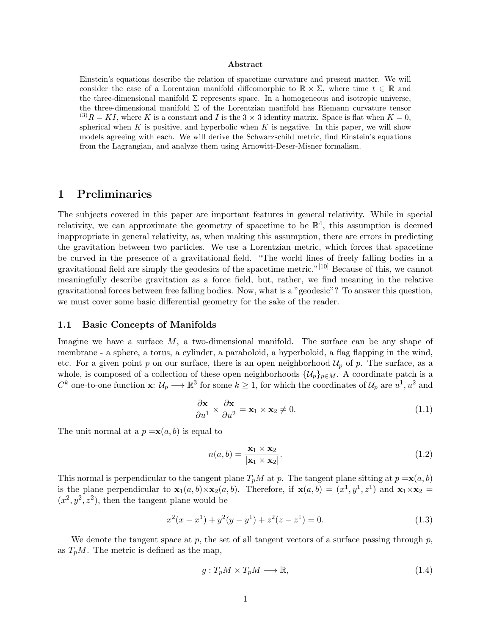#### Abstract

Einstein's equations describe the relation of spacetime curvature and present matter. We will consider the case of a Lorentzian manifold diffeomorphic to  $\mathbb{R} \times \Sigma$ , where time  $t \in \mathbb{R}$  and the three-dimensional manifold  $\Sigma$  represents space. In a homogeneous and isotropic universe, the three-dimensional manifold  $\Sigma$  of the Lorentzian manifold has Riemann curvature tensor  $^{(3)}R = KI$ , where K is a constant and I is the 3  $\times$  3 identity matrix. Space is flat when  $K = 0$ , spherical when  $K$  is positive, and hyperbolic when  $K$  is negative. In this paper, we will show models agreeing with each. We will derive the Schwarzschild metric, find Einstein's equations from the Lagrangian, and analyze them using Arnowitt-Deser-Misner formalism.

# 1 Preliminaries

The subjects covered in this paper are important features in general relativity. While in special relativity, we can approximate the geometry of spacetime to be  $\mathbb{R}^4$ , this assumption is deemed inappropriate in general relativity, as, when making this assumption, there are errors in predicting the gravitation between two particles. We use a Lorentzian metric, which forces that spacetime be curved in the presence of a gravitational field. "The world lines of freely falling bodies in a gravitational field are simply the geodesics of the spacetime metric."[10] Because of this, we cannot meaningfully describe gravitation as a force field, but, rather, we find meaning in the relative gravitational forces between free falling bodies. Now, what is a "geodesic"? To answer this question, we must cover some basic differential geometry for the sake of the reader.

#### 1.1 Basic Concepts of Manifolds

Imagine we have a surface M, a two-dimensional manifold. The surface can be any shape of membrane - a sphere, a torus, a cylinder, a paraboloid, a hyperboloid, a flag flapping in the wind, etc. For a given point p on our surface, there is an open neighborhood  $\mathcal{U}_p$  of p. The surface, as a whole, is composed of a collection of these open neighborhoods  $\{\mathcal{U}_p\}_{p\in M}$ . A coordinate patch is a  $C^k$  one-to-one function  $\mathbf{x} : \mathcal{U}_p \longrightarrow \mathbb{R}^3$  for some  $k \geq 1$ , for which the coordinates of  $\mathcal{U}_p$  are  $u^1, u^2$  and

$$
\frac{\partial \mathbf{x}}{\partial u^1} \times \frac{\partial \mathbf{x}}{\partial u^2} = \mathbf{x}_1 \times \mathbf{x}_2 \neq 0.
$$
 (1.1)

The unit normal at a  $p = \mathbf{x}(a, b)$  is equal to

$$
n(a,b) = \frac{\mathbf{x}_1 \times \mathbf{x}_2}{|\mathbf{x}_1 \times \mathbf{x}_2|}.
$$
 (1.2)

This normal is perpendicular to the tangent plane  $T_pM$  at p. The tangent plane sitting at  $p = \mathbf{x}(a, b)$ is the plane perpendicular to  $\mathbf{x}_1(a,b) \times \mathbf{x}_2(a,b)$ . Therefore, if  $\mathbf{x}(a,b) = (x^1, y^1, z^1)$  and  $\mathbf{x}_1 \times \mathbf{x}_2 =$  $(x^2, y^2, z^2)$ , then the tangent plane would be

$$
x^{2}(x-x^{1}) + y^{2}(y-y^{1}) + z^{2}(z-z^{1}) = 0.
$$
\n(1.3)

We denote the tangent space at  $p$ , the set of all tangent vectors of a surface passing through  $p$ , as  $T_pM$ . The metric is defined as the map,

$$
g: T_p M \times T_p M \longrightarrow \mathbb{R},\tag{1.4}
$$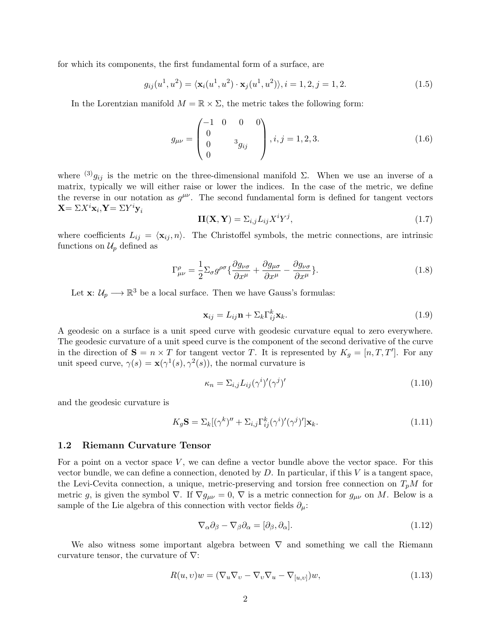for which its components, the first fundamental form of a surface, are

$$
g_{ij}(u^1, u^2) = \langle \mathbf{x}_i(u^1, u^2) \cdot \mathbf{x}_j(u^1, u^2) \rangle, i = 1, 2, j = 1, 2.
$$
 (1.5)

In the Lorentzian manifold  $M = \mathbb{R} \times \Sigma$ , the metric takes the following form:

$$
g_{\mu\nu} = \begin{pmatrix} -1 & 0 & 0 & 0 \\ 0 & & 3 \\ 0 & & 3g_{ij} \\ 0 & & & \end{pmatrix}, i, j = 1, 2, 3. \tag{1.6}
$$

where  $^{(3)}g_{ij}$  is the metric on the three-dimensional manifold  $\Sigma$ . When we use an inverse of a matrix, typically we will either raise or lower the indices. In the case of the metric, we define the reverse in our notation as  $g^{\mu\nu}$ . The second fundamental form is defined for tangent vectors  $\mathbf{X} = \Sigma X^i \mathbf{x}_i, \mathbf{Y} = \Sigma Y^i \mathbf{y}_i$ 

$$
\mathbf{II}(\mathbf{X}, \mathbf{Y}) = \sum_{i,j} L_{ij} X^i Y^j,\tag{1.7}
$$

where coefficients  $L_{ij} = \langle \mathbf{x}_{ij}, n \rangle$ . The Christoffel symbols, the metric connections, are intrinsic functions on  $\mathcal{U}_p$  defined as

$$
\Gamma^{\rho}_{\mu\nu} = \frac{1}{2} \Sigma_{\sigma} g^{\rho\sigma} \{ \frac{\partial g_{\nu\sigma}}{\partial x^{\mu}} + \frac{\partial g_{\mu\sigma}}{\partial x^{\mu}} - \frac{\partial g_{\nu\sigma}}{\partial x^{\mu}} \}.
$$
\n(1.8)

Let  $\mathbf{x} \colon \mathcal{U}_p \longrightarrow \mathbb{R}^3$  be a local surface. Then we have Gauss's formulas:

$$
\mathbf{x}_{ij} = L_{ij}\mathbf{n} + \Sigma_k \Gamma_{ij}^k \mathbf{x}_k. \tag{1.9}
$$

A geodesic on a surface is a unit speed curve with geodesic curvature equal to zero everywhere. The geodesic curvature of a unit speed curve is the component of the second derivative of the curve in the direction of  $S = n \times T$  for tangent vector T. It is represented by  $K_g = [n, T, T']$ . For any unit speed curve,  $\gamma(s) = \mathbf{x}(\gamma^1(s), \gamma^2(s))$ , the normal curvature is

$$
\kappa_n = \sum_{i,j} L_{ij} (\gamma^i)' (\gamma^j)'
$$
\n(1.10)

and the geodesic curvature is

$$
K_g \mathbf{S} = \Sigma_k [(\gamma^k)'' + \Sigma_{i,j} \Gamma_{ij}^k (\gamma^i)' (\gamma^j)'] \mathbf{x}_k.
$$
\n(1.11)

#### 1.2 Riemann Curvature Tensor

For a point on a vector space  $V$ , we can define a vector bundle above the vector space. For this vector bundle, we can define a connection, denoted by  $D$ . In particular, if this  $V$  is a tangent space, the Levi-Cevita connection, a unique, metric-preserving and torsion free connection on  $T_pM$  for metric g, is given the symbol  $\nabla$ . If  $\nabla g_{\mu\nu} = 0$ ,  $\nabla$  is a metric connection for  $g_{\mu\nu}$  on M. Below is a sample of the Lie algebra of this connection with vector fields  $\partial_{\mu}$ :

$$
\nabla_{\alpha}\partial_{\beta} - \nabla_{\beta}\partial_{\alpha} = [\partial_{\beta}, \partial_{\alpha}].
$$
\n(1.12)

We also witness some important algebra between  $\nabla$  and something we call the Riemann curvature tensor, the curvature of  $\nabla$ :

$$
R(u, v)w = (\nabla_u \nabla_v - \nabla_v \nabla_u - \nabla_{[u, v]})w,
$$
\n(1.13)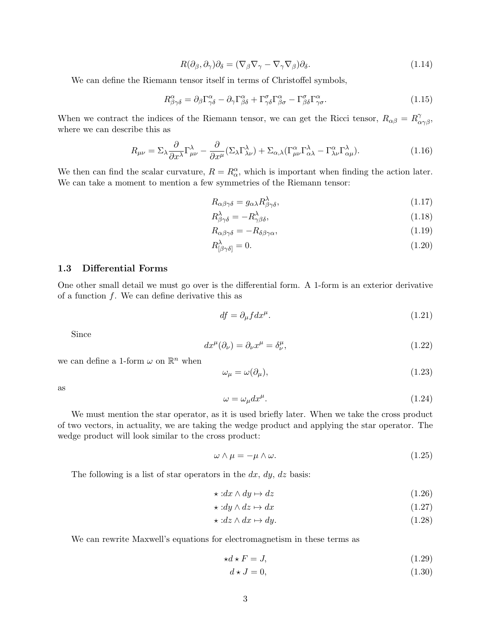$$
R(\partial_{\beta}, \partial_{\gamma})\partial_{\delta} = (\nabla_{\beta}\nabla_{\gamma} - \nabla_{\gamma}\nabla_{\beta})\partial_{\delta}.
$$
\n(1.14)

We can define the Riemann tensor itself in terms of Christoffel symbols,

$$
R^{\alpha}_{\beta\gamma\delta} = \partial_{\beta}\Gamma^{\alpha}_{\gamma\delta} - \partial_{\gamma}\Gamma^{\alpha}_{\beta\delta} + \Gamma^{\sigma}_{\gamma\delta}\Gamma^{\alpha}_{\beta\sigma} - \Gamma^{\sigma}_{\beta\delta}\Gamma^{\alpha}_{\gamma\sigma}.
$$
 (1.15)

When we contract the indices of the Riemann tensor, we can get the Ricci tensor,  $R_{\alpha\beta} = R^{\gamma}_{\alpha\gamma\beta}$ , where we can describe this as

$$
R_{\mu\nu} = \Sigma_{\lambda} \frac{\partial}{\partial x^{\lambda}} \Gamma^{\lambda}_{\mu\nu} - \frac{\partial}{\partial x^{\mu}} (\Sigma_{\lambda} \Gamma^{\lambda}_{\lambda\nu}) + \Sigma_{\alpha,\lambda} (\Gamma^{\alpha}_{\mu\nu} \Gamma^{\lambda}_{\alpha\lambda} - \Gamma^{\alpha}_{\lambda\nu} \Gamma^{\lambda}_{\alpha\mu}). \tag{1.16}
$$

We then can find the scalar curvature,  $R = R_{\alpha}^{\alpha}$ , which is important when finding the action later. We can take a moment to mention a few symmetries of the Riemann tensor:

$$
R_{\alpha\beta\gamma\delta} = g_{\alpha\lambda} R_{\beta\gamma\delta}^{\lambda},\tag{1.17}
$$

$$
R^{\lambda}_{\beta\gamma\delta} = -R^{\lambda}_{\gamma\beta\delta},\tag{1.18}
$$

$$
R_{\alpha\beta\gamma\delta} = -R_{\delta\beta\gamma\alpha},\tag{1.19}
$$

$$
R^{\lambda}_{\left[\beta\gamma\delta\right]} = 0. \tag{1.20}
$$

#### 1.3 Differential Forms

One other small detail we must go over is the differential form. A 1-form is an exterior derivative of a function  $f$ . We can define derivative this as

$$
df = \partial_{\mu} f dx^{\mu}.
$$
 (1.21)

Since

$$
dx^{\mu}(\partial_{\nu}) = \partial_{\nu}x^{\mu} = \delta^{\mu}_{\nu},\tag{1.22}
$$

we can define a 1-form  $\omega$  on  $\mathbb{R}^n$  when

$$
\omega_{\mu} = \omega(\partial_{\mu}),\tag{1.23}
$$

as

$$
\omega = \omega_{\mu} dx^{\mu}.
$$
 (1.24)

We must mention the star operator, as it is used briefly later. When we take the cross product of two vectors, in actuality, we are taking the wedge product and applying the star operator. The wedge product will look similar to the cross product:

$$
\omega \wedge \mu = -\mu \wedge \omega. \tag{1.25}
$$

The following is a list of star operators in the  $dx$ ,  $dy$ ,  $dz$  basis:

$$
\star: dx \wedge dy \mapsto dz \tag{1.26}
$$

$$
\star: dy \wedge dz \mapsto dx \tag{1.27}
$$

$$
\star: dz \wedge dx \mapsto dy. \tag{1.28}
$$

We can rewrite Maxwell's equations for electromagnetism in these terms as

$$
\star d \star F = J,\tag{1.29}
$$

$$
d \star J = 0,\tag{1.30}
$$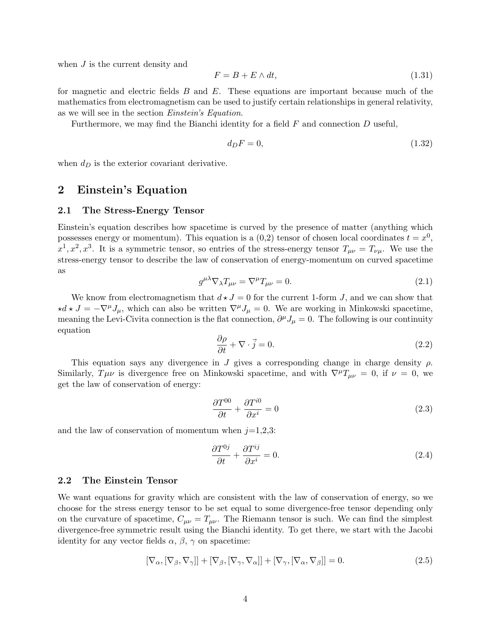when  $J$  is the current density and

$$
F = B + E \wedge dt,\tag{1.31}
$$

for magnetic and electric fields  $B$  and  $E$ . These equations are important because much of the mathematics from electromagnetism can be used to justify certain relationships in general relativity, as we will see in the section Einstein's Equation.

Furthermore, we may find the Bianchi identity for a field  $F$  and connection  $D$  useful,

$$
d_D F = 0,\t\t(1.32)
$$

when  $d_D$  is the exterior covariant derivative.

## 2 Einstein's Equation

#### 2.1 The Stress-Energy Tensor

Einstein's equation describes how spacetime is curved by the presence of matter (anything which possesses energy or momentum). This equation is a  $(0,2)$  tensor of chosen local coordinates  $t = x<sup>0</sup>$ ,  $x^1, x^2, x^3$ . It is a symmetric tensor, so entries of the stress-energy tensor  $T_{\mu\nu} = T_{\nu\mu}$ . We use the stress-energy tensor to describe the law of conservation of energy-momentum on curved spacetime as

$$
g^{\mu\lambda}\nabla_{\lambda}T_{\mu\nu} = \nabla^{\mu}T_{\mu\nu} = 0.
$$
\n(2.1)

We know from electromagnetism that  $d \star J = 0$  for the current 1-form J, and we can show that  $\star d \star J = -\nabla^{\mu}J_{\mu}$ , which can also be written  $\nabla^{\mu}J_{\mu} = 0$ . We are working in Minkowski spacetime, meaning the Levi-Civita connection is the flat connection,  $\partial^{\mu} J_{\mu} = 0$ . The following is our continuity equation

$$
\frac{\partial \rho}{\partial t} + \nabla \cdot \vec{j} = 0. \tag{2.2}
$$

This equation says any divergence in J gives a corresponding change in charge density  $\rho$ . Similarly,  $T\mu\nu$  is divergence free on Minkowski spacetime, and with  $\nabla^{\mu}T_{\mu\nu} = 0$ , if  $\nu = 0$ , we get the law of conservation of energy:

$$
\frac{\partial T^{00}}{\partial t} + \frac{\partial T^{i0}}{\partial x^i} = 0 \tag{2.3}
$$

and the law of conservation of momentum when  $j=1,2,3$ :

$$
\frac{\partial T^{0j}}{\partial t} + \frac{\partial T^{ij}}{\partial x^i} = 0.
$$
\n(2.4)

#### 2.2 The Einstein Tensor

We want equations for gravity which are consistent with the law of conservation of energy, so we choose for the stress energy tensor to be set equal to some divergence-free tensor depending only on the curvature of spacetime,  $C_{\mu\nu} = T_{\mu\nu}$ . The Riemann tensor is such. We can find the simplest divergence-free symmetric result using the Bianchi identity. To get there, we start with the Jacobi identity for any vector fields  $\alpha$ ,  $\beta$ ,  $\gamma$  on spacetime:

$$
[\nabla_{\alpha}, [\nabla_{\beta}, \nabla_{\gamma}]] + [\nabla_{\beta}, [\nabla_{\gamma}, \nabla_{\alpha}]] + [\nabla_{\gamma}, [\nabla_{\alpha}, \nabla_{\beta}]] = 0.
$$
\n(2.5)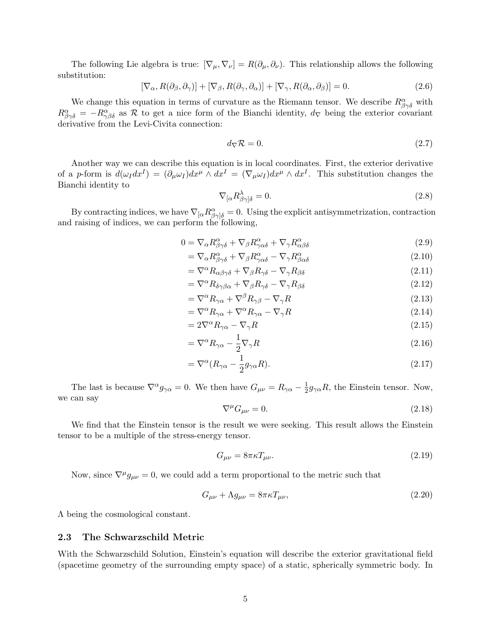The following Lie algebra is true:  $[\nabla_{\mu}, \nabla_{\nu}] = R(\partial_{\mu}, \partial_{\nu})$ . This relationship allows the following substitution:

$$
[\nabla_{\alpha}, R(\partial_{\beta}, \partial_{\gamma})] + [\nabla_{\beta}, R(\partial_{\gamma}, \partial_{\alpha})] + [\nabla_{\gamma}, R(\partial_{\alpha}, \partial_{\beta})] = 0.
$$
\n(2.6)

We change this equation in terms of curvature as the Riemann tensor. We describe  $R^{\alpha}_{\beta\gamma\delta}$  with  $R^{\alpha}_{\beta\gamma\delta} = -R^{\alpha}_{\gamma\beta\delta}$  as R to get a nice form of the Bianchi identity,  $d_{\nabla}$  being the exterior covariant derivative from the Levi-Civita connection:

$$
d_{\nabla}\mathcal{R} = 0. \tag{2.7}
$$

Another way we can describe this equation is in local coordinates. First, the exterior derivative of a p-form is  $d(\omega_I dx^I) = (\partial_\mu \omega_I) dx^\mu \wedge dx^I = (\nabla_\mu \omega_I) dx^\mu \wedge dx^I$ . This substitution changes the Bianchi identity to

$$
\nabla_{\left[\alpha}R^{\lambda}_{\beta\gamma\right]\delta} = 0. \tag{2.8}
$$

By contracting indices, we have  $\nabla_{[\alpha}R^{\alpha}_{\beta\gamma]\delta} = 0$ . Using the explicit antisymmetrization, contraction and raising of indices, we can perform the following,

$$
0 = \nabla_{\alpha} R^{\alpha}_{\beta\gamma\delta} + \nabla_{\beta} R^{\alpha}_{\gamma\alpha\delta} + \nabla_{\gamma} R^{\alpha}_{\alpha\beta\delta}
$$
\n(2.9)

$$
= \nabla_{\alpha} R^{\alpha}_{\beta\gamma\delta} + \nabla_{\beta} R^{\alpha}_{\gamma\alpha\delta} - \nabla_{\gamma} R^{\alpha}_{\beta\alpha\delta} \tag{2.10}
$$

$$
= \nabla^{\alpha} R_{\alpha\beta\gamma\delta} + \nabla_{\beta} R_{\gamma\delta} - \nabla_{\gamma} R_{\beta\delta} \tag{2.11}
$$

$$
= \nabla^{\alpha} R_{\delta\gamma\beta\alpha} + \nabla_{\beta} R_{\gamma\delta} - \nabla_{\gamma} R_{\beta\delta} \tag{2.12}
$$

$$
= \nabla^{\alpha} R_{\gamma\alpha} + \nabla^{\beta} R_{\gamma\beta} - \nabla_{\gamma} R \tag{2.13}
$$

$$
= \nabla^{\alpha} R_{\gamma\alpha} + \nabla^{\alpha} R_{\gamma\alpha} - \nabla_{\gamma} R \tag{2.14}
$$

$$
=2\nabla^{\alpha}R_{\gamma\alpha}-\nabla_{\gamma}R\tag{2.15}
$$

$$
=\nabla^{\alpha}R_{\gamma\alpha} - \frac{1}{2}\nabla_{\gamma}R\tag{2.16}
$$

$$
=\nabla^{\alpha}(R_{\gamma\alpha}-\frac{1}{2}g_{\gamma\alpha}R). \tag{2.17}
$$

The last is because  $\nabla^{\alpha} g_{\gamma\alpha} = 0$ . We then have  $G_{\mu\nu} = R_{\gamma\alpha} - \frac{1}{2}$  $\frac{1}{2}g_{\gamma\alpha}R$ , the Einstein tensor. Now, we can say

$$
\nabla^{\mu}G_{\mu\nu} = 0. \tag{2.18}
$$

We find that the Einstein tensor is the result we were seeking. This result allows the Einstein tensor to be a multiple of the stress-energy tensor.

$$
G_{\mu\nu} = 8\pi\kappa T_{\mu\nu}.\tag{2.19}
$$

Now, since  $\nabla^{\mu}g_{\mu\nu}=0$ , we could add a term proportional to the metric such that

$$
G_{\mu\nu} + \Lambda g_{\mu\nu} = 8\pi\kappa T_{\mu\nu},\tag{2.20}
$$

Λ being the cosmological constant.

#### 2.3 The Schwarzschild Metric

With the Schwarzschild Solution, Einstein's equation will describe the exterior gravitational field (spacetime geometry of the surrounding empty space) of a static, spherically symmetric body. In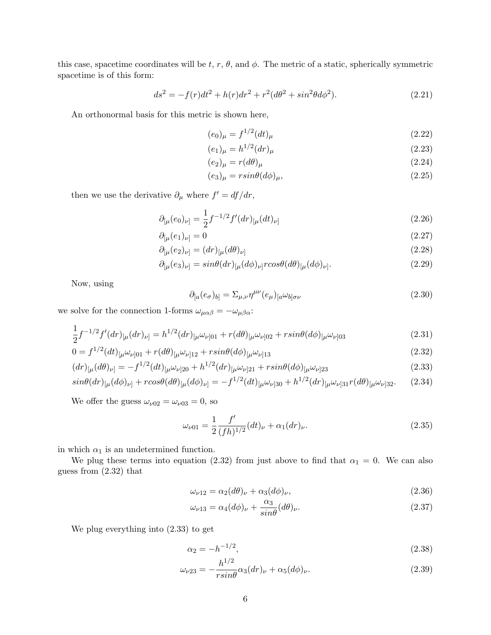this case, spacetime coordinates will be  $t, r, \theta$ , and  $\phi$ . The metric of a static, spherically symmetric spacetime is of this form:

$$
ds^{2} = -f(r)dt^{2} + h(r)dr^{2} + r^{2}(d\theta^{2} + sin^{2}\theta d\phi^{2}).
$$
\n(2.21)

An orthonormal basis for this metric is shown here,

$$
(e_0)_{\mu} = f^{1/2}(dt)_{\mu} \tag{2.22}
$$

$$
(e_1)_{\mu} = h^{1/2} (dr)_{\mu} \tag{2.23}
$$

$$
(e_2)_{\mu} = r(d\theta)_{\mu} \tag{2.24}
$$

$$
(e_3)_{\mu} = r \sin \theta (d\phi)_{\mu}, \tag{2.25}
$$

then we use the derivative  $\partial_{\mu}$  where  $f' = df/dr$ ,

$$
\partial_{\lbrack\mu}(e_0)_{\nu\rbrack} = \frac{1}{2} f^{-1/2} f'(dr)_{\lbrack\mu}(dt)_{\nu\rbrack} \tag{2.26}
$$

$$
\partial_{\mu}(e_1)_{\nu} = 0\tag{2.27}
$$

$$
\partial_{[\mu}(e_2)_{\nu]} = (dr)_{[\mu}(d\theta)_{\nu]}
$$
\n(2.28)

$$
\partial_{\left[\mu\right]}(e_3)_{\nu\left]} = \sin\theta (dr)_{\left[\mu\right]}(d\phi)_{\nu\left]}\n\cos\theta (d\theta)_{\left[\mu\right]}(d\phi)_{\nu\left]}.
$$
\n(2.29)

Now, using

$$
\partial_{[a}(e_{\sigma})_{b]} = \Sigma_{\mu,\nu} \eta^{\mu\nu}(e_{\mu})_{[a} \omega_{b] \sigma \nu} \tag{2.30}
$$

we solve for the connection 1-forms  $\omega_{\mu\alpha\beta}=-\omega_{\mu\beta\alpha}$ :

$$
\frac{1}{2}f^{-1/2}f'(dr)_{[\mu}(dr)_{\nu]} = h^{1/2}(dr)_{[\mu}\omega_{\nu]01} + r(d\theta)_{[\mu}\omega_{\nu]02} + r\sin\theta(d\phi)_{[\mu}\omega_{\nu]03}
$$
\n(2.31)

$$
0 = f^{1/2}(dt)_{\lbrack \mu} \omega_{\nu \rbrack 01} + r(d\theta)_{\lbrack \mu} \omega_{\nu \rbrack 12} + r \sin(\theta(d\phi)_{\lbrack \mu} \omega_{\nu \rbrack 13} \tag{2.32}
$$

$$
(dr)_{[\mu}(d\theta)_{\nu]} = -f^{1/2}(dt)_{[\mu}\omega_{\nu]20} + h^{1/2}(dr)_{[\mu}\omega_{\nu]21} + r\sin\theta(d\phi)_{[\mu}\omega_{\nu]23}
$$
\n(2.33)

$$
\sin\theta (dr)_{[\mu}(d\phi)_{\nu]} + r\cos\theta (d\theta)_{[\mu}(d\phi)_{\nu]} = -f^{1/2}(dt)_{[\mu}\omega_{\nu]30} + h^{1/2}(dr)_{[\mu}\omega_{\nu]31}r(d\theta)_{[\mu}\omega_{\nu]32}.
$$
 (2.34)

We offer the guess  $\omega_{\nu 02} = \omega_{\nu 03} = 0$ , so

$$
\omega_{\nu 01} = \frac{1}{2} \frac{f'}{(fh)^{1/2}} (dt)_{\nu} + \alpha_1 (dr)_{\nu}.
$$
\n(2.35)

in which  $\alpha_1$  is an undetermined function.

We plug these terms into equation (2.32) from just above to find that  $\alpha_1 = 0$ . We can also guess from (2.32) that

$$
\omega_{\nu 12} = \alpha_2 (d\theta)_{\nu} + \alpha_3 (d\phi)_{\nu},\tag{2.36}
$$

$$
\omega_{\nu 13} = \alpha_4 (d\phi)_{\nu} + \frac{\alpha_3}{\sin \theta} (d\theta)_{\nu}.
$$
\n(2.37)

We plug everything into (2.33) to get

$$
\alpha_2 = -h^{-1/2},\tag{2.38}
$$

$$
\omega_{\nu 23} = -\frac{h^{1/2}}{r \sin \theta} \alpha_3 (dr)_{\nu} + \alpha_5 (d\phi)_{\nu}.
$$
\n(2.39)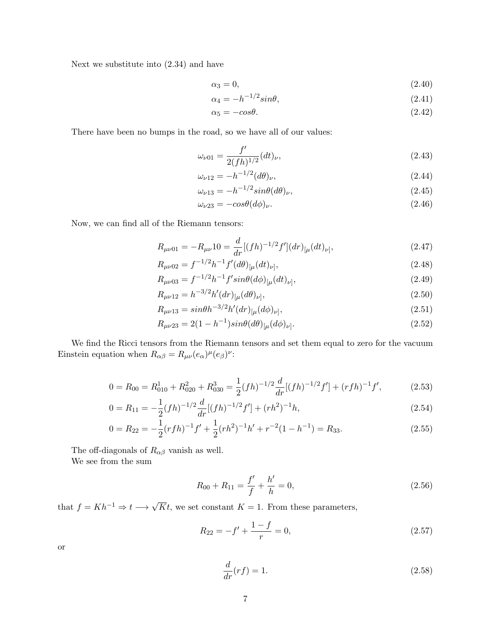Next we substitute into (2.34) and have

$$
\alpha_3 = 0,\tag{2.40}
$$

$$
\alpha_4 = -h^{-1/2} \sin \theta,\tag{2.41}
$$

$$
\alpha_5 = -\cos\theta. \tag{2.42}
$$

There have been no bumps in the road, so we have all of our values:

$$
\omega_{\nu 01} = \frac{f'}{2(fh)^{1/2}}(dt)_{\nu},\tag{2.43}
$$

$$
\omega_{\nu 12} = -h^{-1/2} (d\theta)_{\nu}, \tag{2.44}
$$

$$
\omega_{\nu 13} = -h^{-1/2} sin\theta (d\theta)_{\nu}, \qquad (2.45)
$$

$$
\omega_{\nu 23} = -\cos\theta (d\phi)_{\nu}.\tag{2.46}
$$

Now, we can find all of the Riemann tensors:

$$
R_{\mu\nu 01} = -R_{\mu\nu}10 = \frac{d}{dr}[(fh)^{-1/2}f'](dr)_{[\mu}(dt)_{\nu]},
$$
\n(2.47)

$$
R_{\mu\nu 02} = f^{-1/2} h^{-1} f'(d\theta)_{[\mu}(dt)_{\nu]},
$$
\n(2.48)

$$
R_{\mu\nu 03} = f^{-1/2}h^{-1}f'sin\theta (d\phi)_{[\mu}(dt)_{\nu]},
$$
\n(2.49)

$$
R_{\mu\nu 12} = h^{-3/2} h'(dr)_{[\mu}(d\theta)_{\nu]},
$$
\n(2.50)

$$
R_{\mu\nu 13} = \sin\theta h^{-3/2} h'(dr)_{[\mu}(d\phi)_{\nu]},
$$
\n(2.51)

$$
R_{\mu\nu 23} = 2(1 - h^{-1})sin\theta (d\theta)_{[\mu} (d\phi)_{\nu]}.
$$
\n(2.52)

We find the Ricci tensors from the Riemann tensors and set them equal to zero for the vacuum Einstein equation when  $R_{\alpha\beta} = R_{\mu\nu}(e_{\alpha})^{\mu}(e_{\beta})^{\nu}$ :

$$
0 = R_{00} = R_{010}^1 + R_{020}^2 + R_{030}^3 = \frac{1}{2} (fh)^{-1/2} \frac{d}{dr} [(fh)^{-1/2} f'] + (rfh)^{-1} f', \tag{2.53}
$$

$$
0 = R_{11} = -\frac{1}{2}(fh)^{-1/2}\frac{d}{dr}[(fh)^{-1/2}f'] + (rh^2)^{-1}h,
$$
\n(2.54)

$$
0 = R_{22} = -\frac{1}{2}(rfh)^{-1}f' + \frac{1}{2}(rh^2)^{-1}h' + r^{-2}(1-h^{-1}) = R_{33}.
$$
 (2.55)

The off-diagonals of  $R_{\alpha\beta}$  vanish as well.

We see from the sum

$$
R_{00} + R_{11} = \frac{f'}{f} + \frac{h'}{h} = 0, \qquad (2.56)
$$

that  $f = Kh^{-1} \Rightarrow t \longrightarrow \sqrt{K}t$ , we set constant  $K = 1$ . From these parameters,

$$
R_{22} = -f' + \frac{1-f}{r} = 0,\t\t(2.57)
$$

or

$$
\frac{d}{dr}(rf) = 1.\tag{2.58}
$$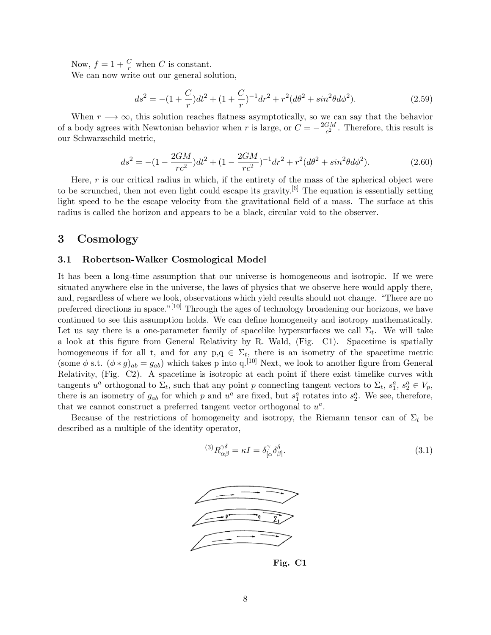Now,  $f = 1 + \frac{C}{r}$  when C is constant.

We can now write out our general solution,

$$
ds^{2} = -(1 + \frac{C}{r})dt^{2} + (1 + \frac{C}{r})^{-1}dr^{2} + r^{2}(d\theta^{2} + sin^{2}\theta d\phi^{2}).
$$
\n(2.59)

When  $r \rightarrow \infty$ , this solution reaches flatness asymptotically, so we can say that the behavior of a body agrees with Newtonian behavior when r is large, or  $C = -\frac{2GM}{c^2}$  $\frac{GM}{c^2}$ . Therefore, this result is our Schwarzschild metric,

$$
ds^{2} = -(1 - \frac{2GM}{rc^{2}})dt^{2} + (1 - \frac{2GM}{rc^{2}})^{-1}dr^{2} + r^{2}(d\theta^{2} + sin^{2}\theta d\phi^{2}).
$$
\n(2.60)

Here,  $r$  is our critical radius in which, if the entirety of the mass of the spherical object were to be scrunched, then not even light could escape its gravity.<sup>[6]</sup> The equation is essentially setting light speed to be the escape velocity from the gravitational field of a mass. The surface at this radius is called the horizon and appears to be a black, circular void to the observer.

## 3 Cosmology

#### 3.1 Robertson-Walker Cosmological Model

It has been a long-time assumption that our universe is homogeneous and isotropic. If we were situated anywhere else in the universe, the laws of physics that we observe here would apply there, and, regardless of where we look, observations which yield results should not change. "There are no preferred directions in space."<sup>[10]</sup> Through the ages of technology broadening our horizons, we have continued to see this assumption holds. We can define homogeneity and isotropy mathematically. Let us say there is a one-parameter family of spacelike hypersurfaces we call  $\Sigma_t$ . We will take a look at this figure from General Relativity by R. Wald, (Fig. C1). Spacetime is spatially homogeneous if for all t, and for any  $p,q \in \Sigma_t$ , there is an isometry of the spacetime metric (some  $\phi$  s.t.  $(\phi * g)_{ab} = g_{ab}$ ) which takes p into q.<sup>[10]</sup> Next, we look to another figure from General Relativity, (Fig. C2). A spacetime is isotropic at each point if there exist timelike curves with tangents  $u^a$  orthogonal to  $\Sigma_t$ , such that any point p connecting tangent vectors to  $\Sigma_t$ ,  $s_1^a$ ,  $s_2^a \in V_p$ , there is an isometry of  $g_{ab}$  for which p and  $u^a$  are fixed, but  $s_1^a$  rotates into  $s_2^a$ . We see, therefore, that we cannot construct a preferred tangent vector orthogonal to  $u^a$ .

Because of the restrictions of homogeneity and isotropy, the Riemann tensor can of  $\Sigma_t$  be described as a multiple of the identity operator,

$$
{}^{(3)}R^{\gamma\delta}_{\alpha\beta} = \kappa I = \delta^{\gamma}_{[\alpha}\delta^{\delta}_{\beta]}.
$$
\n(3.1)



Fig. C1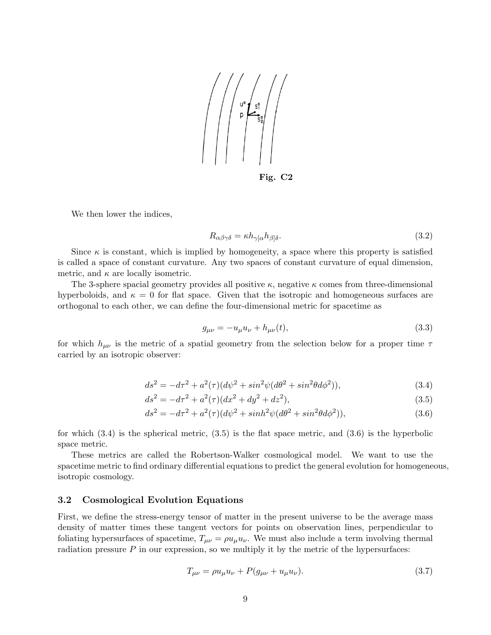

Fig. C2

We then lower the indices,

$$
R_{\alpha\beta\gamma\delta} = \kappa h_{\gamma\alpha} h_{\beta\beta}.
$$
\n(3.2)

Since  $\kappa$  is constant, which is implied by homogeneity, a space where this property is satisfied is called a space of constant curvature. Any two spaces of constant curvature of equal dimension, metric, and  $\kappa$  are locally isometric.

The 3-sphere spacial geometry provides all positive  $\kappa$ , negative  $\kappa$  comes from three-dimensional hyperboloids, and  $\kappa = 0$  for flat space. Given that the isotropic and homogeneous surfaces are orthogonal to each other, we can define the four-dimensional metric for spacetime as

$$
g_{\mu\nu} = -u_{\mu}u_{\nu} + h_{\mu\nu}(t),
$$
\n(3.3)

for which  $h_{\mu\nu}$  is the metric of a spatial geometry from the selection below for a proper time  $\tau$ carried by an isotropic observer:

$$
ds^{2} = -d\tau^{2} + a^{2}(\tau)(d\psi^{2} + \sin^{2}\psi(d\theta^{2} + \sin^{2}\theta d\phi^{2})),
$$
\n(3.4)

$$
ds^{2} = -d\tau^{2} + a^{2}(\tau)(dx^{2} + dy^{2} + dz^{2}),
$$
\n(3.5)

$$
ds^{2} = -d\tau^{2} + a^{2}(\tau)(d\psi^{2} + \sinh^{2}\psi(d\theta^{2} + \sin^{2}\theta d\phi^{2})),
$$
\n(3.6)

for which  $(3.4)$  is the spherical metric,  $(3.5)$  is the flat space metric, and  $(3.6)$  is the hyperbolic space metric.

These metrics are called the Robertson-Walker cosmological model. We want to use the spacetime metric to find ordinary differential equations to predict the general evolution for homogeneous, isotropic cosmology.

#### 3.2 Cosmological Evolution Equations

First, we define the stress-energy tensor of matter in the present universe to be the average mass density of matter times these tangent vectors for points on observation lines, perpendicular to foliating hypersurfaces of spacetime,  $T_{\mu\nu} = \rho u_{\mu} u_{\nu}$ . We must also include a term involving thermal radiation pressure  $P$  in our expression, so we multiply it by the metric of the hypersurfaces:

$$
T_{\mu\nu} = \rho u_{\mu} u_{\nu} + P(g_{\mu\nu} + u_{\mu} u_{\nu}).
$$
\n(3.7)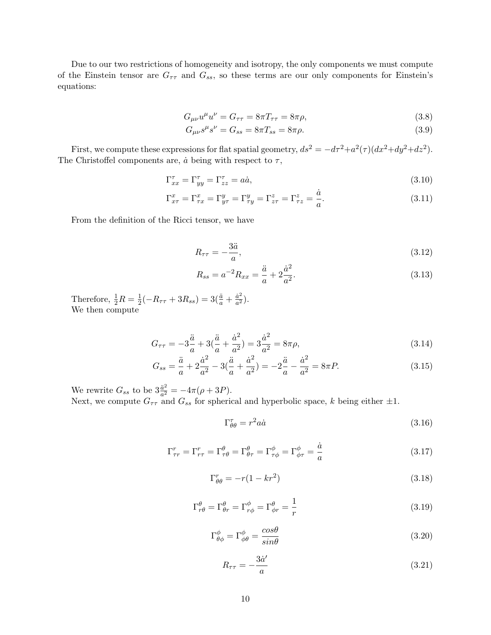Due to our two restrictions of homogeneity and isotropy, the only components we must compute of the Einstein tensor are  $G_{\tau\tau}$  and  $G_{ss}$ , so these terms are our only components for Einstein's equations:

$$
G_{\mu\nu}u^{\mu}u^{\nu} = G_{\tau\tau} = 8\pi T_{\tau\tau} = 8\pi\rho,
$$
\n(3.8)

$$
G_{\mu\nu}s^{\mu}s^{\nu} = G_{ss} = 8\pi T_{ss} = 8\pi\rho.
$$
\n(3.9)

First, we compute these expressions for flat spatial geometry,  $ds^2 = -d\tau^2 + a^2(\tau)(dx^2 + dy^2 + dz^2)$ . The Christoffel components are,  $\dot{a}$  being with respect to  $\tau$ ,

$$
\Gamma_{xx}^{\tau} = \Gamma_{yy}^{\tau} = \Gamma_{zz}^{\tau} = a\dot{a},\tag{3.10}
$$

$$
\Gamma_{x\tau}^x = \Gamma_{\tau x}^x = \Gamma_{y\tau}^y = \Gamma_{\tau y}^y = \Gamma_{z\tau}^z = \Gamma_{\tau z}^z = \frac{a}{a}.
$$
\n(3.11)

From the definition of the Ricci tensor, we have

$$
R_{\tau\tau} = -\frac{3\ddot{a}}{a},\tag{3.12}
$$

a˙

$$
R_{ss} = a^{-2} R_{xx} = \frac{\ddot{a}}{a} + 2\frac{\dot{a}^2}{a^2}.
$$
\n(3.13)

Therefore,  $\frac{1}{2}R = \frac{1}{2}$  $\frac{1}{2}(-R_{\tau\tau} + 3R_{ss}) = 3(\frac{\ddot{a}}{a} + \frac{\dot{a}^2}{a^2})$  $\frac{a^2}{a^2}$ ). We then compute

$$
G_{\tau\tau} = -3\frac{\ddot{a}}{a} + 3(\frac{\ddot{a}}{a} + \frac{\dot{a}^2}{a^2}) = 3\frac{\dot{a}^2}{a^2} = 8\pi\rho,
$$
\n(3.14)

$$
G_{ss} = \frac{\ddot{a}}{a} + 2\frac{\dot{a}^2}{a^2} - 3(\frac{\ddot{a}}{a} + \frac{\dot{a}^2}{a^2}) = -2\frac{\ddot{a}}{a} - \frac{\dot{a}^2}{a^2} = 8\pi P. \tag{3.15}
$$

We rewrite  $G_{ss}$  to be  $3\frac{\ddot{a}^2}{a^2}$  $\frac{a^2}{a^2} = -4\pi(\rho + 3P).$ Next, we compute  $G_{\tau\tau}$  and  $G_{ss}$  for spherical and hyperbolic space, k being either  $\pm 1$ .

$$
\Gamma^{\tau}_{\theta\theta} = r^2 a \dot{a} \tag{3.16}
$$

$$
\Gamma^r_{\tau r} = \Gamma^r_{r\tau} = \Gamma^\theta_{\tau\theta} = \Gamma^\theta_{\theta\tau} = \Gamma^\phi_{\tau\phi} = \Gamma^\phi_{\phi\tau} = \frac{\dot{a}}{a}
$$
\n(3.17)

$$
\Gamma_{\theta\theta}^r = -r(1 - kr^2) \tag{3.18}
$$

$$
\Gamma^{\theta}_{r\theta} = \Gamma^{\theta}_{\theta r} = \Gamma^{\phi}_{r\phi} = \Gamma^{\theta}_{\phi r} = \frac{1}{r}
$$
\n(3.19)

$$
\Gamma^{\phi}_{\theta\phi} = \Gamma^{\phi}_{\phi\theta} = \frac{\cos\theta}{\sin\theta} \tag{3.20}
$$

$$
R_{\tau\tau} = -\frac{3\dot{a}'}{a} \tag{3.21}
$$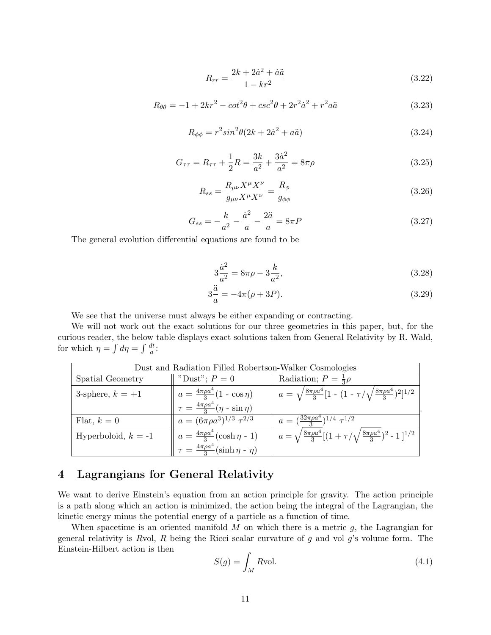$$
R_{rr} = \frac{2k + 2\dot{a}^2 + \dot{a}\ddot{a}}{1 - kr^2} \tag{3.22}
$$

$$
R_{\theta\theta} = -1 + 2kr^2 - \cot^2\theta + \csc^2\theta + 2r^2\dot{a}^2 + r^2a\ddot{a}
$$
 (3.23)

$$
R_{\phi\phi} = r^2 \sin^2\theta (2k + 2\dot{a}^2 + a\ddot{a})\tag{3.24}
$$

$$
G_{\tau\tau} = R_{\tau\tau} + \frac{1}{2}R = \frac{3k}{a^2} + \frac{3\dot{a}^2}{a^2} = 8\pi\rho
$$
\n(3.25)

$$
R_{ss} = \frac{R_{\mu\nu}X^{\mu}X^{\nu}}{g_{\mu\nu}X^{\mu}X^{\nu}} = \frac{R_{\phi}}{g_{\phi\phi}}
$$
\n(3.26)

$$
G_{ss} = -\frac{k}{a^2} - \frac{\dot{a}^2}{a} - \frac{2\ddot{a}}{a} = 8\pi P \tag{3.27}
$$

The general evolution differential equations are found to be

$$
3\frac{\dot{a}^2}{a^2} = 8\pi\rho - 3\frac{k}{a^2},\tag{3.28}
$$

$$
3\frac{\ddot{a}}{a} = -4\pi(\rho + 3P). \tag{3.29}
$$

We see that the universe must always be either expanding or contracting.

We will not work out the exact solutions for our three geometries in this paper, but, for the curious reader, the below table displays exact solutions taken from General Relativity by R. Wald, for which  $\eta = \int d\eta = \int \frac{dt}{g}$  $\frac{dt}{a}$ :

| Dust and Radiation Filled Robertson-Walker Cosmologies |                                                                                                    |                                                                                            |  |  |  |
|--------------------------------------------------------|----------------------------------------------------------------------------------------------------|--------------------------------------------------------------------------------------------|--|--|--|
| Spatial Geometry                                       | "Dust"; $P=0$                                                                                      | Radiation; $P = \frac{1}{3}\rho$                                                           |  |  |  |
| 3-sphere, $k = +1$                                     | $a = \frac{4\pi\rho a^4}{3}(1 - \cos \eta)$<br>$\tau = \frac{4\pi\rho a^4}{3}(\eta - \sin \eta)$   | $a = \sqrt{\frac{8\pi\rho a^4}{3}} [1 - (1 - \tau/\sqrt{\frac{8\pi\rho a^4}{3}})^2]^{1/2}$ |  |  |  |
|                                                        |                                                                                                    |                                                                                            |  |  |  |
| Flat, $k=0$                                            | $a = (6\pi \rho a^3)^{1/3} \tau^{2/3}$                                                             | $a = (\frac{32\pi\rho a^4}{3})^{1/4} \tau^{1/2}$                                           |  |  |  |
| Hyperboloid, $k = -1$                                  | $a = \frac{4\pi\rho a^4}{3}(\cosh \eta - 1)$<br>$\tau = \frac{4\pi\rho a^4}{3}(\sinh \eta - \eta)$ | $a = \sqrt{\frac{8\pi\rho a^4}{3}}[(1+\tau/\sqrt{\frac{8\pi\rho a^4}{3}})^2 - 1]^{1/2}$    |  |  |  |
|                                                        |                                                                                                    |                                                                                            |  |  |  |

# 4 Lagrangians for General Relativity

We want to derive Einstein's equation from an action principle for gravity. The action principle is a path along which an action is minimized, the action being the integral of the Lagrangian, the kinetic energy minus the potential energy of a particle as a function of time.

When spacetime is an oriented manifold  $M$  on which there is a metric  $g$ , the Lagrangian for general relativity is Rvol,  $R$  being the Ricci scalar curvature of  $g$  and vol  $g$ 's volume form. The Einstein-Hilbert action is then

$$
S(g) = \int_{M} R \text{vol.} \tag{4.1}
$$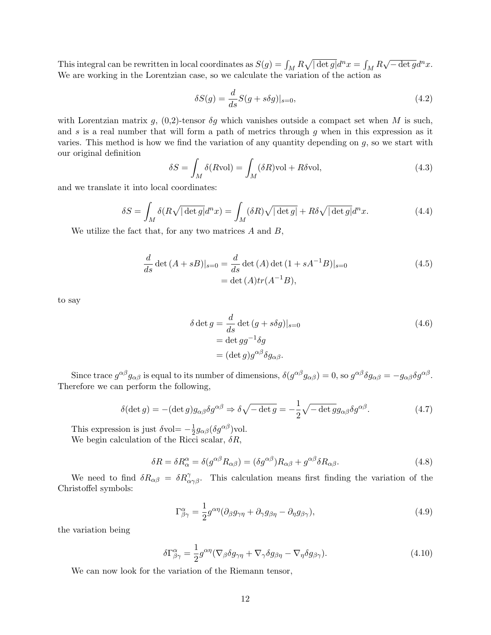This integral can be rewritten in local coordinates as  $S(g) = \int_M R \sqrt{|\det g|} d^n x = \int_M R$  $\sqrt{-\det g}d^n x.$ We are working in the Lorentzian case, so we calculate the variation of the action as

$$
\delta S(g) = \frac{d}{ds} S(g + s\delta g)|_{s=0},\tag{4.2}
$$

with Lorentzian matrix g,  $(0,2)$ -tensor  $\delta q$  which vanishes outside a compact set when M is such, and  $s$  is a real number that will form a path of metrics through  $g$  when in this expression as it varies. This method is how we find the variation of any quantity depending on  $q$ , so we start with our original definition

$$
\delta S = \int_M \delta(R \text{vol}) = \int_M (\delta R) \text{vol} + R \delta \text{vol},\tag{4.3}
$$

and we translate it into local coordinates:

$$
\delta S = \int_M \delta(R\sqrt{|\det g|}d^nx) = \int_M (\delta R)\sqrt{|\det g|} + R\delta\sqrt{|\det g|}d^nx.
$$
 (4.4)

We utilize the fact that, for any two matrices  $A$  and  $B$ ,

$$
\frac{d}{ds}\det(A+sB)|_{s=0} = \frac{d}{ds}\det(A)\det(1+sA^{-1}B)|_{s=0}
$$
\n
$$
= \det(A)tr(A^{-1}B),
$$
\n(4.5)

to say

$$
\delta \det g = \frac{d}{ds} \det (g + s\delta g)|_{s=0}
$$
  
= det  $gg^{-1} \delta g$   
= (det  $g$ )  $g^{\alpha\beta} \delta g_{\alpha\beta}$ . (4.6)

Since trace  $g^{\alpha\beta}g_{\alpha\beta}$  is equal to its number of dimensions,  $\delta(g^{\alpha\beta}g_{\alpha\beta})=0$ , so  $g^{\alpha\beta}\delta g_{\alpha\beta}=-g_{\alpha\beta}\delta g^{\alpha\beta}$ . Therefore we can perform the following,

$$
\delta(\det g) = -(\det g)g_{\alpha\beta}\delta g^{\alpha\beta} \Rightarrow \delta\sqrt{-\det g} = -\frac{1}{2}\sqrt{-\det g}g_{\alpha\beta}\delta g^{\alpha\beta}.
$$
 (4.7)

This expression is just  $\delta \text{vol} = -\frac{1}{2}$  $\frac{1}{2}g_{\alpha\beta}(\delta g^{\alpha\beta})$ vol. We begin calculation of the Ricci scalar,  $\delta R$ ,

$$
\delta R = \delta R^{\alpha}_{\alpha} = \delta(g^{\alpha\beta} R_{\alpha\beta}) = (\delta g^{\alpha\beta}) R_{\alpha\beta} + g^{\alpha\beta} \delta R_{\alpha\beta}.
$$
\n(4.8)

We need to find  $\delta R_{\alpha\beta} = \delta R^{\gamma}_{\alpha\gamma\beta}$ . This calculation means first finding the variation of the Christoffel symbols:

$$
\Gamma^{\alpha}_{\beta\gamma} = \frac{1}{2} g^{\alpha\eta} (\partial_{\beta} g_{\gamma\eta} + \partial_{\gamma} g_{\beta\eta} - \partial_{\eta} g_{\beta\gamma}), \qquad (4.9)
$$

the variation being

$$
\delta\Gamma^{\alpha}_{\beta\gamma} = \frac{1}{2}g^{\alpha\eta}(\nabla_{\beta}\delta g_{\gamma\eta} + \nabla_{\gamma}\delta g_{\beta\eta} - \nabla_{\eta}\delta g_{\beta\gamma}).\tag{4.10}
$$

We can now look for the variation of the Riemann tensor,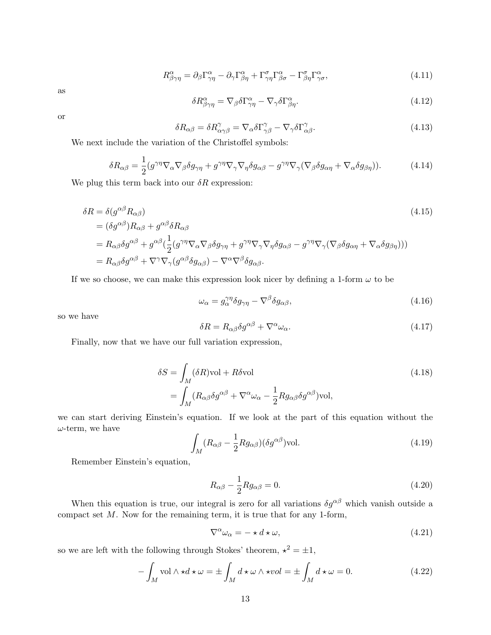$$
R^{\alpha}_{\beta\gamma\eta} = \partial_{\beta} \Gamma^{\alpha}_{\gamma\eta} - \partial_{\gamma} \Gamma^{\alpha}_{\beta\eta} + \Gamma^{\sigma}_{\gamma\eta} \Gamma^{\alpha}_{\beta\sigma} - \Gamma^{\sigma}_{\beta\eta} \Gamma^{\alpha}_{\gamma\sigma}, \qquad (4.11)
$$

as

$$
\delta R^{\alpha}_{\beta\gamma\eta} = \nabla_{\beta} \delta \Gamma^{\alpha}_{\gamma\eta} - \nabla_{\gamma} \delta \Gamma^{\alpha}_{\beta\eta}.
$$
\n(4.12)

or

$$
\delta R_{\alpha\beta} = \delta R^{\gamma}_{\alpha\gamma\beta} = \nabla_{\alpha}\delta\Gamma^{\gamma}_{\gamma\beta} - \nabla_{\gamma}\delta\Gamma^{\gamma}_{\alpha\beta}.
$$
\n(4.13)

We next include the variation of the Christoffel symbols:

$$
\delta R_{\alpha\beta} = \frac{1}{2} (g^{\gamma\eta} \nabla_{\alpha} \nabla_{\beta} \delta g_{\gamma\eta} + g^{\gamma\eta} \nabla_{\gamma} \nabla_{\eta} \delta g_{\alpha\beta} - g^{\gamma\eta} \nabla_{\gamma} (\nabla_{\beta} \delta g_{\alpha\eta} + \nabla_{\alpha} \delta g_{\beta\eta})).
$$
(4.14)

We plug this term back into our  $\delta R$  expression:

$$
\delta R = \delta(g^{\alpha\beta} R_{\alpha\beta})
$$
\n
$$
= (\delta g^{\alpha\beta}) R_{\alpha\beta} + g^{\alpha\beta} \delta R_{\alpha\beta}
$$
\n
$$
= R_{\alpha\beta} \delta g^{\alpha\beta} + g^{\alpha\beta} (\frac{1}{2} (g^{\gamma\eta} \nabla_{\alpha} \nabla_{\beta} \delta g_{\gamma\eta} + g^{\gamma\eta} \nabla_{\gamma} \nabla_{\eta} \delta g_{\alpha\beta} - g^{\gamma\eta} \nabla_{\gamma} (\nabla_{\beta} \delta g_{\alpha\eta} + \nabla_{\alpha} \delta g_{\beta\eta})))
$$
\n
$$
= R_{\alpha\beta} \delta g^{\alpha\beta} + \nabla^{\gamma} \nabla_{\gamma} (g^{\alpha\beta} \delta g_{\alpha\beta}) - \nabla^{\alpha} \nabla^{\beta} \delta g_{\alpha\beta}.
$$
\n(4.15)

If we so choose, we can make this expression look nicer by defining a 1-form  $\omega$  to be

$$
\omega_{\alpha} = g_{\alpha}^{\gamma \eta} \delta g_{\gamma \eta} - \nabla^{\beta} \delta g_{\alpha \beta},\tag{4.16}
$$

so we have

$$
\delta R = R_{\alpha\beta}\delta g^{\alpha\beta} + \nabla^{\alpha}\omega_{\alpha}.\tag{4.17}
$$

Finally, now that we have our full variation expression,

$$
\delta S = \int_M (\delta R) \text{vol} + R \delta \text{vol}
$$
\n
$$
= \int_M (R_{\alpha\beta} \delta g^{\alpha\beta} + \nabla^{\alpha} \omega_{\alpha} - \frac{1}{2} R g_{\alpha\beta} \delta g^{\alpha\beta}) \text{vol},
$$
\n(4.18)

we can start deriving Einstein's equation. If we look at the part of this equation without the  $\omega$ -term, we have

$$
\int_{M} (R_{\alpha\beta} - \frac{1}{2} R g_{\alpha\beta}) (\delta g^{\alpha\beta}) \text{vol.}
$$
\n(4.19)

Remember Einstein's equation,

$$
R_{\alpha\beta} - \frac{1}{2} R g_{\alpha\beta} = 0. \tag{4.20}
$$

When this equation is true, our integral is zero for all variations  $\delta g^{\alpha\beta}$  which vanish outside a compact set  $M$ . Now for the remaining term, it is true that for any 1-form,

$$
\nabla^{\alpha}\omega_{\alpha} = -\star d \star \omega, \tag{4.21}
$$

so we are left with the following through Stokes' theorem,  $\star^2 = \pm 1$ ,

$$
-\int_{M} \text{vol} \wedge \star d \star \omega = \pm \int_{M} d \star \omega \wedge \star vol = \pm \int_{M} d \star \omega = 0. \tag{4.22}
$$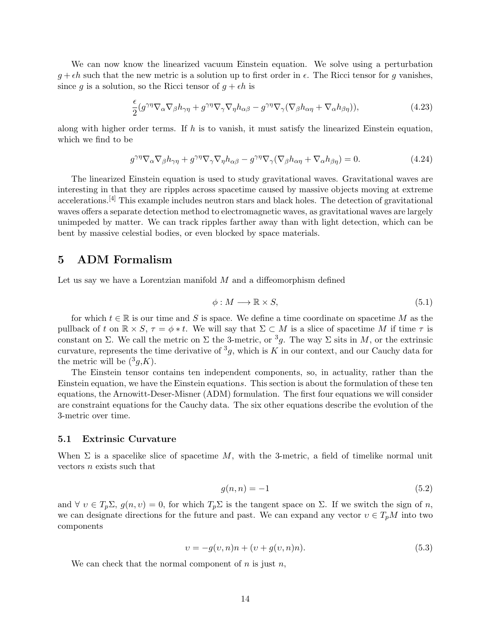We can now know the linearized vacuum Einstein equation. We solve using a perturbation  $g + \epsilon h$  such that the new metric is a solution up to first order in  $\epsilon$ . The Ricci tensor for g vanishes. since g is a solution, so the Ricci tensor of  $g + \epsilon h$  is

$$
\frac{\epsilon}{2}(g^{\gamma\eta}\nabla_{\alpha}\nabla_{\beta}h_{\gamma\eta} + g^{\gamma\eta}\nabla_{\gamma}\nabla_{\eta}h_{\alpha\beta} - g^{\gamma\eta}\nabla_{\gamma}(\nabla_{\beta}h_{\alpha\eta} + \nabla_{\alpha}h_{\beta\eta})),\tag{4.23}
$$

along with higher order terms. If h is to vanish, it must satisfy the linearized Einstein equation, which we find to be

$$
g^{\gamma\eta}\nabla_{\alpha}\nabla_{\beta}h_{\gamma\eta} + g^{\gamma\eta}\nabla_{\gamma}\nabla_{\eta}h_{\alpha\beta} - g^{\gamma\eta}\nabla_{\gamma}(\nabla_{\beta}h_{\alpha\eta} + \nabla_{\alpha}h_{\beta\eta}) = 0.
$$
 (4.24)

The linearized Einstein equation is used to study gravitational waves. Gravitational waves are interesting in that they are ripples across spacetime caused by massive objects moving at extreme accelerations.<sup>[4]</sup> This example includes neutron stars and black holes. The detection of gravitational waves offers a separate detection method to electromagnetic waves, as gravitational waves are largely unimpeded by matter. We can track ripples farther away than with light detection, which can be bent by massive celestial bodies, or even blocked by space materials.

# 5 ADM Formalism

Let us say we have a Lorentzian manifold  $M$  and a diffeomorphism defined

$$
\phi: M \longrightarrow \mathbb{R} \times S,\tag{5.1}
$$

for which  $t \in \mathbb{R}$  is our time and S is space. We define a time coordinate on spacetime M as the pullback of t on  $\mathbb{R} \times S$ ,  $\tau = \phi * t$ . We will say that  $\Sigma \subset M$  is a slice of spacetime M if time  $\tau$  is constant on  $\Sigma$ . We call the metric on  $\Sigma$  the 3-metric, or <sup>3</sup>g. The way  $\Sigma$  sits in M, or the extrinsic curvature, represents the time derivative of  ${}^{3}g$ , which is K in our context, and our Cauchy data for the metric will be  $({}^3g,K)$ .

The Einstein tensor contains ten independent components, so, in actuality, rather than the Einstein equation, we have the Einstein equations. This section is about the formulation of these ten equations, the Arnowitt-Deser-Misner (ADM) formulation. The first four equations we will consider are constraint equations for the Cauchy data. The six other equations describe the evolution of the 3-metric over time.

#### 5.1 Extrinsic Curvature

When  $\Sigma$  is a spacelike slice of spacetime M, with the 3-metric, a field of timelike normal unit vectors n exists such that

$$
g(n,n) = -1\tag{5.2}
$$

and  $\forall v \in T_p\Sigma$ ,  $g(n, v) = 0$ , for which  $T_p\Sigma$  is the tangent space on  $\Sigma$ . If we switch the sign of n, we can designate directions for the future and past. We can expand any vector  $v \in T_pM$  into two components

$$
v = -g(v, n)n + (v + g(v, n)n). \tag{5.3}
$$

We can check that the normal component of  $n$  is just  $n$ ,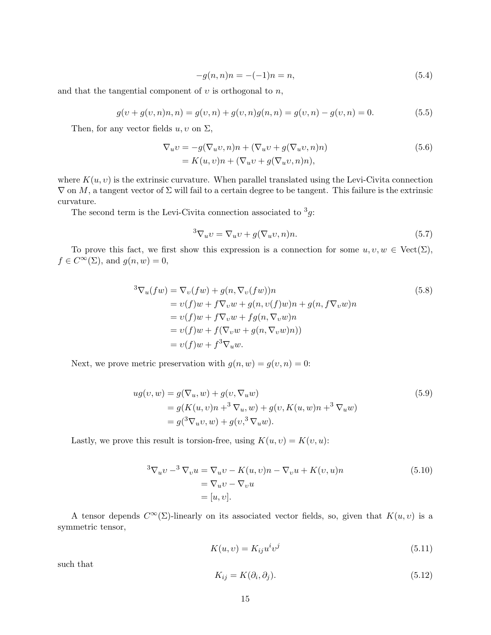$$
-g(n,n)n = -(-1)n = n,\t\t(5.4)
$$

and that the tangential component of  $v$  is orthogonal to  $n$ ,

$$
g(v + g(v, n)n, n) = g(v, n) + g(v, n)g(n, n) = g(v, n) - g(v, n) = 0.
$$
\n(5.5)

Then, for any vector fields  $u, v$  on  $\Sigma$ ,

$$
\nabla_u v = -g(\nabla_u v, n)n + (\nabla_u v + g(\nabla_u v, n)n)
$$
  
=  $K(u, v)n + (\nabla_u v + g(\nabla_u v, n)n),$  (5.6)

where  $K(u, v)$  is the extrinsic curvature. When parallel translated using the Levi-Civita connection  $\nabla$  on M, a tangent vector of  $\Sigma$  will fail to a certain degree to be tangent. This failure is the extrinsic curvature.

The second term is the Levi-Civita connection associated to  $3g$ :

$$
{}^{3}\nabla_{u}v = \nabla_{u}v + g(\nabla_{u}v, n)n. \tag{5.7}
$$

To prove this fact, we first show this expression is a connection for some  $u, v, w \in \text{Vect}(\Sigma)$ ,  $f \in C^{\infty}(\Sigma)$ , and  $g(n, w) = 0$ ,

$$
{}^{3}\nabla_{u}(fw) = \nabla_{v}(fw) + g(n, \nabla_{v}(fw))n
$$
  
\n
$$
= v(f)w + f\nabla_{v}w + g(n, v(f)w)n + g(n, f\nabla_{v}w)n
$$
  
\n
$$
= v(f)w + f\nabla_{v}w + fg(n, \nabla_{v}w)n
$$
  
\n
$$
= v(f)w + f(\nabla_{v}w + g(n, \nabla_{v}w)n))
$$
  
\n
$$
= v(f)w + f^{3}\nabla_{u}w.
$$
\n(5.8)

Next, we prove metric preservation with  $g(n, w) = g(v, n) = 0$ :

$$
ug(v, w) = g(\nabla_u, w) + g(v, \nabla_u w)
$$
  
=  $g(K(u, v)n + {^3} \nabla_u, w) + g(v, K(u, w)n + {^3} \nabla_u w)$   
=  $g({^3} \nabla_u v, w) + g(v, {^3} \nabla_u w).$  (5.9)

Lastly, we prove this result is torsion-free, using  $K(u, v) = K(v, u)$ :

$$
{}^{3}\nabla_{u}v - {}^{3}\nabla_{v}u = \nabla_{u}v - K(u,v)n - \nabla_{v}u + K(v,u)n
$$
  
=  $\nabla_{u}v - \nabla_{v}u$   
=  $[u, v].$  (5.10)

A tensor depends  $C^{\infty}(\Sigma)$ -linearly on its associated vector fields, so, given that  $K(u, v)$  is a symmetric tensor,

$$
K(u, v) = K_{ij} u^i v^j \tag{5.11}
$$

such that

$$
K_{ij} = K(\partial_i, \partial_j). \tag{5.12}
$$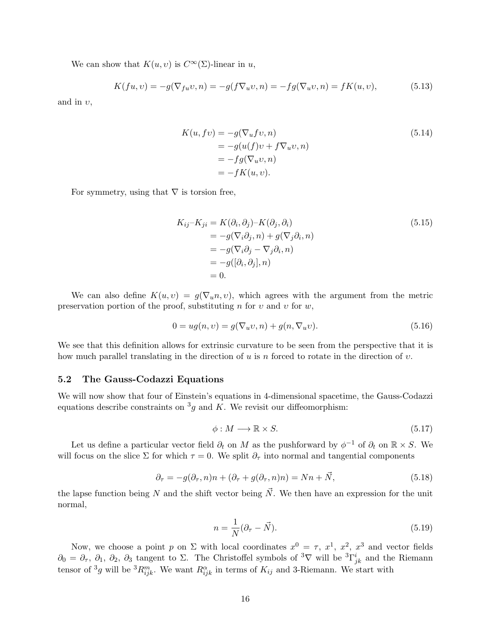We can show that  $K(u, v)$  is  $C^{\infty}(\Sigma)$ -linear in u,

$$
K(fu, v) = -g(\nabla_{fu}v, n) = -g(f\nabla_u v, n) = -fg(\nabla_u v, n) = fK(u, v),
$$
\n(5.13)

and in  $v$ ,

$$
K(u, fv) = -g(\nabla_u fv, n)
$$
  
=  $-g(u(f)v + f\nabla_u v, n)$   
=  $-fg(\nabla_u v, n)$   
=  $-fK(u, v).$  (5.14)

For symmetry, using that  $\nabla$  is torsion free,

$$
K_{ij} - K_{ji} = K(\partial_i, \partial_j) - K(\partial_j, \partial_i)
$$
  
=  $-g(\nabla_i \partial_j, n) + g(\nabla_j \partial_i, n)$   
=  $-g(\nabla_i \partial_j - \nabla_j \partial_i, n)$   
=  $-g([\partial_i, \partial_j], n)$   
= 0. (5.15)

We can also define  $K(u, v) = g(\nabla_u n, v)$ , which agrees with the argument from the metric preservation portion of the proof, substituting n for v and v for w,

$$
0 = ug(n, v) = g(\nabla_u v, n) + g(n, \nabla_u v). \tag{5.16}
$$

We see that this definition allows for extrinsic curvature to be seen from the perspective that it is how much parallel translating in the direction of u is n forced to rotate in the direction of v.

#### 5.2 The Gauss-Codazzi Equations

We will now show that four of Einstein's equations in 4-dimensional spacetime, the Gauss-Codazzi equations describe constraints on  ${}^{3}g$  and K. We revisit our diffeomorphism:

$$
\phi: M \longrightarrow \mathbb{R} \times S. \tag{5.17}
$$

Let us define a particular vector field  $\partial_t$  on M as the pushforward by  $\phi^{-1}$  of  $\partial_t$  on  $\mathbb{R} \times S$ . We will focus on the slice  $\Sigma$  for which  $\tau = 0$ . We split  $\partial_{\tau}$  into normal and tangential components

$$
\partial_{\tau} = -g(\partial_{\tau}, n)n + (\partial_{\tau} + g(\partial_{\tau}, n)n) = Nn + \vec{N},\tag{5.18}
$$

the lapse function being N and the shift vector being  $\vec{N}$ . We then have an expression for the unit normal,

$$
n = \frac{1}{N}(\partial_{\tau} - \vec{N}).\tag{5.19}
$$

Now, we choose a point p on  $\Sigma$  with local coordinates  $x^0 = \tau$ ,  $x^1$ ,  $x^2$ ,  $x^3$  and vector fields  $\partial_0 = \partial_{\tau}, \partial_1, \partial_2, \partial_3$  tangent to  $\Sigma$ . The Christoffel symbols of <sup>3</sup>V will be  ${}^3\Gamma^i_{jk}$  and the Riemann tensor of <sup>3</sup>g will be <sup>3</sup> $R_{ijk}^m$ . We want  $R_{ijk}^{\alpha}$  in terms of  $K_{ij}$  and 3-Riemann. We start with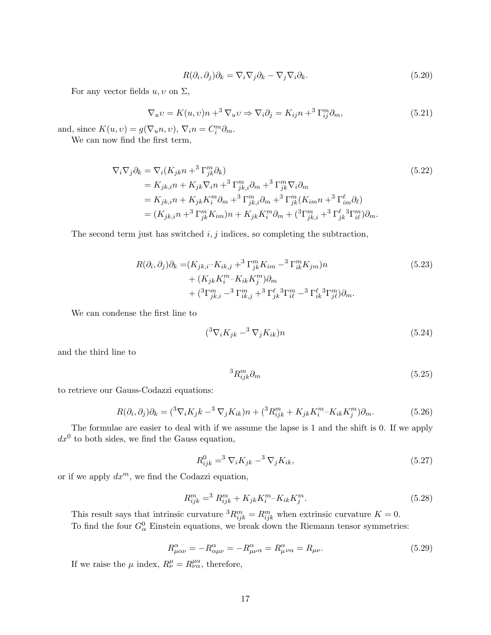$$
R(\partial_i, \partial_j)\partial_k = \nabla_i \nabla_j \partial_k - \nabla_j \nabla_i \partial_k.
$$
\n(5.20)

For any vector fields  $u, v$  on  $\Sigma$ ,

$$
\nabla_u v = K(u, v)n + ^3 \nabla_u v \Rightarrow \nabla_i \partial_j = K_{ij}n + ^3 \Gamma_{ij}^m \partial_m,
$$
\n(5.21)

and, since  $K(u, v) = g(\nabla_u n, v), \nabla_i n = C_i^m \partial_m$ .

We can now find the first term,

$$
\nabla_i \nabla_j \partial_k = \nabla_i (K_{jk} n +^3 \Gamma_{jk}^m \partial_k)
$$
\n
$$
= K_{jk,i} n + K_{jk} \nabla_i n +^3 \Gamma_{jk,i}^m \partial_m +^3 \Gamma_{jk}^m \nabla_i \partial_m
$$
\n
$$
= K_{jk,i} n + K_{jk} K_i^m \partial_m +^3 \Gamma_{jk,i}^m \partial_m +^3 \Gamma_{jk}^m (K_{im} n +^3 \Gamma_{im}^{\ell} \partial_{\ell})
$$
\n
$$
= (K_{jk,i} n +^3 \Gamma_{jk}^m K_{im}) n + K_{jk} K_i^m \partial_m + (^3 \Gamma_{jk,i}^m +^3 \Gamma_{jk}^{\ell} {}^3 \Gamma_{il}^m) \partial_m.
$$
\n(5.22)

The second term just has switched  $i, j$  indices, so completing the subtraction,

$$
R(\partial_i, \partial_j)\partial_k = (K_{jk,i} - K_{ik,j} + ^3\Gamma_{jk}^m K_{im} - ^3\Gamma_{ik}^m K_{jm})n + (K_{jk}K_i^m - K_{ik}K_j^m)\partial_m + ({}^3\Gamma_{jk,i}^m - {}^3\Gamma_{ik,j}^m + {}^3\Gamma_{jk}^\ell {}^3\Gamma_{il}^m - {}^3\Gamma_{ik}^\ell {}^3\Gamma_{jl}^m)\partial_m.
$$
\n(5.23)

We can condense the first line to

$$
({}^3\nabla_i K_{jk} - {}^3\nabla_j K_{ik})n \tag{5.24}
$$

and the third line to

$$
{}^{3}R_{ijk}^{m}\partial_{m} \tag{5.25}
$$

to retrieve our Gauss-Codazzi equations:

$$
R(\partial_i, \partial_j)\partial_k = \left( ^3\nabla_i K_j k - ^3\nabla_j K_{ik} \right) n + \left( ^3R^m_{ijk} + K_{jk}K^m_i - K_{ik}K^m_j \right)\partial_m. \tag{5.26}
$$

The formulae are easier to deal with if we assume the lapse is 1 and the shift is 0. If we apply  $dx^0$  to both sides, we find the Gauss equation,

$$
R_{ijk}^{0} = {}^{3} \nabla_{i} K_{jk} - {}^{3} \nabla_{j} K_{ik}, \qquad (5.27)
$$

or if we apply  $dx^m$ , we find the Codazzi equation,

$$
R_{ijk}^{m} = {}^{3} R_{ijk}^{m} + K_{jk} K_{i}^{m} - K_{ik} K_{j}^{m}.
$$
\n(5.28)

This result says that intrinsic curvature  ${}^{3}R_{ijk}^{m} = R_{ijk}^{m}$  when extrinsic curvature  $K = 0$ . To find the four  $G^0_\alpha$  Einstein equations, we break down the Riemann tensor symmetries:

$$
R^{\alpha}_{\mu\alpha\nu} = -R^{\alpha}_{\alpha\mu\nu} = -R^{\alpha}_{\mu\nu\alpha} = R^{\alpha}_{\mu\nu\alpha} = R_{\mu\nu}.
$$
\n(5.29)

If we raise the  $\mu$  index,  $R^{\mu}_{\nu} = R^{\mu \alpha}_{\nu \alpha}$ , therefore,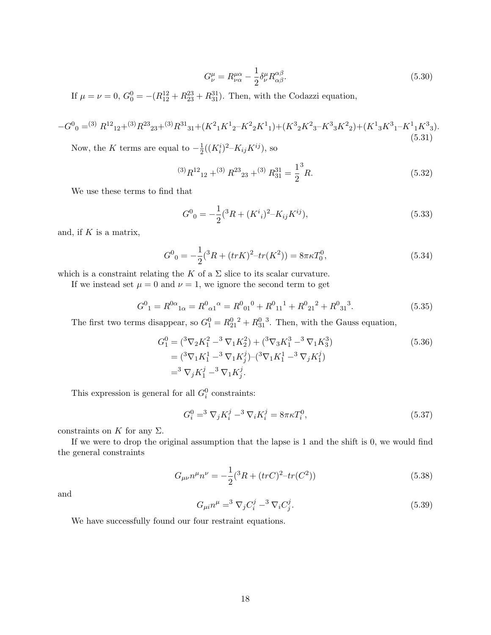$$
G^{\mu}_{\nu} = R^{\mu\alpha}_{\nu\alpha} - \frac{1}{2} \delta^{\mu}_{\nu} R^{\alpha\beta}_{\alpha\beta}.
$$
\n(5.30)

If  $\mu = \nu = 0$ ,  $G_0^0 = -(R_{12}^{12} + R_{23}^{23} + R_{31}^{31})$ . Then, with the Codazzi equation,

$$
-G^0{}_0=^{(3)} R^{12}{}_{12}+{}^{(3)}R^{23}{}_{23}+{}^{(3)}R^{31}{}_{31}+ (K^2{}_1K^1{}_2-K^2{}_2K^1{}_1) + (K^3{}_2K^2{}_3-K^3{}_3K^2{}_2) + (K^1{}_3K^3{}_1-K^1{}_1K^3{}_3). \eqno(5.31)
$$

Now, the K terms are equal to  $-\frac{1}{2}$  $\frac{1}{2}((K_i^i)^2 - K_{ij}K^{ij}),$  so

$$
{}^{(3)}R^{12}{}_{12} + {}^{(3)}R^{23}{}_{23} + {}^{(3)}R^{31}{}_{31} = \frac{1}{2} {}^{3}R. \tag{5.32}
$$

We use these terms to find that

$$
G^{0}_{0} = -\frac{1}{2}({}^{3}R + (K^{i}_{i})^{2} - K_{ij}K^{ij}),
$$
\n(5.33)

and, if  $K$  is a matrix,

$$
G^{0}{}_{0} = -\frac{1}{2}({}^{3}R + (trK)^{2} - tr(K^{2})) = 8\pi\kappa T_{0}^{0},\tag{5.34}
$$

which is a constraint relating the K of a  $\Sigma$  slice to its scalar curvature.

If we instead set  $\mu = 0$  and  $\nu = 1$ , we ignore the second term to get

$$
G^{0}_{1} = R^{0\alpha}_{\ \alpha} = R^{0}_{\ \alpha 1}{}^{\alpha} = R^{0}_{\ 01}{}^{0} + R^{0}_{\ 11}{}^{1} + R^{0}_{\ 21}{}^{2} + R^{0}_{\ 31}{}^{3}.
$$

The first two terms disappear, so  $G_1^0 = R_{21}^0{}^2 + R_{31}^0{}^3$ . Then, with the Gauss equation,

$$
G_1^0 = ({}^3 \nabla_2 K_1^2 - {}^3 \nabla_1 K_2^2) + ({}^3 \nabla_3 K_1^3 - {}^3 \nabla_1 K_3^3)
$$
  
= 
$$
({}^3 \nabla_1 K_1^1 - {}^3 \nabla_1 K_j^j) - ({}^3 \nabla_1 K_1^1 - {}^3 \nabla_j K_1^j)
$$
  
= 
$$
{}^3 \nabla_j K_1^j - {}^3 \nabla_1 K_j^j.
$$
 (5.36)

This expression is general for all  $G_i^0$  constraints:

$$
G_i^0 = {}^3 \nabla_j K_i^j - {}^3 \nabla_i K_i^j = 8\pi \kappa T_i^0,
$$
\n(5.37)

constraints on K for any  $\Sigma$ .

If we were to drop the original assumption that the lapse is 1 and the shift is 0, we would find the general constraints

$$
G_{\mu\nu}n^{\mu}n^{\nu} = -\frac{1}{2}(^{3}R + (trC)^{2} - tr(C^{2}))
$$
\n(5.38)

and

$$
G_{\mu i} n^{\mu} = {}^{3} \nabla_{j} C_{i}^{j} - {}^{3} \nabla_{i} C_{j}^{j}.
$$
 (5.39)

We have successfully found our four restraint equations.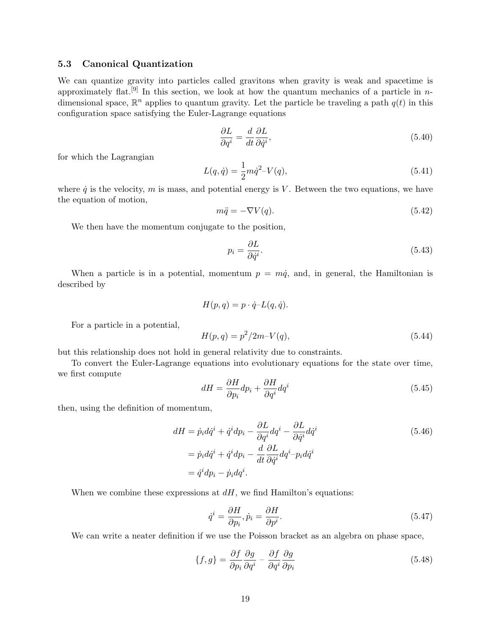#### 5.3 Canonical Quantization

We can quantize gravity into particles called gravitons when gravity is weak and spacetime is approximately flat.<sup>[9]</sup> In this section, we look at how the quantum mechanics of a particle in ndimensional space,  $\mathbb{R}^n$  applies to quantum gravity. Let the particle be traveling a path  $q(t)$  in this configuration space satisfying the Euler-Lagrange equations

$$
\frac{\partial L}{\partial q^i} = \frac{d}{dt} \frac{\partial L}{\partial \dot{q}^i},\tag{5.40}
$$

for which the Lagrangian

$$
L(q, \dot{q}) = \frac{1}{2} m \dot{q}^2 - V(q), \qquad (5.41)
$$

where  $\dot{q}$  is the velocity, m is mass, and potential energy is V. Between the two equations, we have the equation of motion,

$$
m\ddot{q} = -\nabla V(q). \tag{5.42}
$$

We then have the momentum conjugate to the position,

$$
p_i = \frac{\partial L}{\partial \dot{q}^i}.\tag{5.43}
$$

When a particle is in a potential, momentum  $p = m\dot{q}$ , and, in general, the Hamiltonian is described by

$$
H(p,q) = p \cdot \dot{q} - L(q, \dot{q}).
$$

For a particle in a potential,

$$
H(p,q) = p^2/2m - V(q),
$$
\n(5.44)

but this relationship does not hold in general relativity due to constraints.

To convert the Euler-Lagrange equations into evolutionary equations for the state over time, we first compute

$$
dH = \frac{\partial H}{\partial p_i} dp_i + \frac{\partial H}{\partial q^i} dq^i \tag{5.45}
$$

then, using the definition of momentum,

$$
dH = \dot{p}_i d\dot{q}^i + \dot{q}^i dp_i - \frac{\partial L}{\partial q^i} dq^i - \frac{\partial L}{\partial \dot{q}^i} d\dot{q}^i
$$
  
=  $\dot{p}_i d\dot{q}^i + \dot{q}^i dp_i - \frac{d}{dt} \frac{\partial L}{\partial \dot{q}^i} dq^i - p_i d\dot{q}^i$   
=  $\dot{q}^i dp_i - \dot{p}_i dq^i$ . (5.46)

When we combine these expressions at  $dH$ , we find Hamilton's equations:

$$
\dot{q}^i = \frac{\partial H}{\partial p_i}, \dot{p}_i = \frac{\partial H}{\partial p^i}.
$$
\n(5.47)

We can write a neater definition if we use the Poisson bracket as an algebra on phase space,

$$
\{f,g\} = \frac{\partial f}{\partial p_i} \frac{\partial g}{\partial q^i} - \frac{\partial f}{\partial q^i} \frac{\partial g}{\partial p_i}
$$
\n(5.48)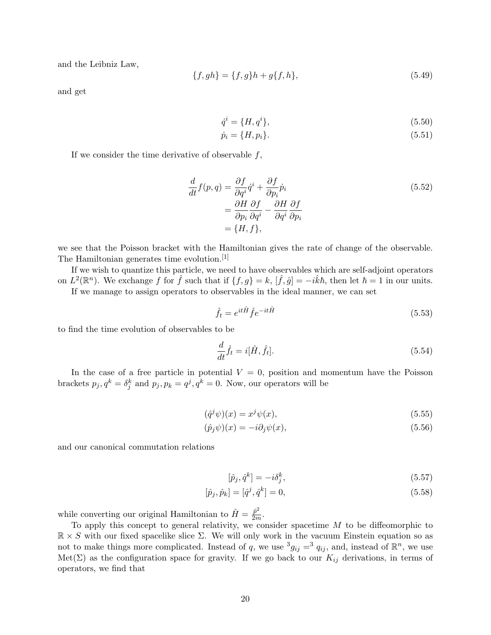and the Leibniz Law,

$$
\{f, gh\} = \{f, g\}h + g\{f, h\},\tag{5.49}
$$

and get

$$
\dot{q}^i = \{H, q^i\},\tag{5.50}
$$

$$
\dot{p}_i = \{H, p_i\}.\tag{5.51}
$$

If we consider the time derivative of observable  $f$ ,

$$
\frac{d}{dt}f(p,q) = \frac{\partial f}{\partial q^i}\dot{q}^i + \frac{\partial f}{\partial p_i}\dot{p}_i
$$
\n
$$
= \frac{\partial H}{\partial p_i}\frac{\partial f}{\partial q^i} - \frac{\partial H}{\partial q^i}\frac{\partial f}{\partial p_i}
$$
\n
$$
= \{H, f\},\tag{5.52}
$$

we see that the Poisson bracket with the Hamiltonian gives the rate of change of the observable. The Hamiltonian generates time evolution.<sup>[1]</sup>

If we wish to quantize this particle, we need to have observables which are self-adjoint operators on  $L^2(\mathbb{R}^n)$ . We exchange f for  $\hat{f}$  such that if  $\{f,g\}=k$ ,  $[\hat{f},\hat{g}]=-i\hat{k}\hbar$ , then let  $\hbar=1$  in our units. If we manage to assign operators to observables in the ideal manner, we can set

$$
\hat{f}_t = e^{it\hat{H}} \hat{f} e^{-it\hat{H}}
$$
\n(5.53)

to find the time evolution of observables to be

$$
\frac{d}{dt}\hat{f}_t = i[\hat{H}, \hat{f}_t].\tag{5.54}
$$

In the case of a free particle in potential  $V = 0$ , position and momentum have the Poisson brackets  $p_j, q^k = \delta_j^k$  and  $p_j, p_k = q^j, q^k = 0$ . Now, our operators will be

$$
(\hat{q}^j \psi)(x) = x^j \psi(x),\tag{5.55}
$$

$$
(\hat{p}_j \psi)(x) = -i \partial_j \psi(x), \qquad (5.56)
$$

and our canonical commutation relations

$$
[\hat{p}_j, \hat{q}^k] = -i\delta_j^k,\tag{5.57}
$$

$$
[\hat{p}_j, \hat{p}_k] = [\hat{q}^j, \hat{q}^k] = 0,\t\t(5.58)
$$

while converting our original Hamiltonian to  $\hat{H} = \frac{\hat{p}^2}{2m}$  $\frac{p}{2m}$ .

To apply this concept to general relativity, we consider spacetime  $M$  to be diffeomorphic to  $\mathbb{R} \times S$  with our fixed spacelike slice  $\Sigma$ . We will only work in the vacuum Einstein equation so as not to make things more complicated. Instead of q, we use  ${}^3g_{ij} = {}^3q_{ij}$ , and, instead of  $\mathbb{R}^n$ , we use Met( $\Sigma$ ) as the configuration space for gravity. If we go back to our  $K_{ij}$  derivations, in terms of operators, we find that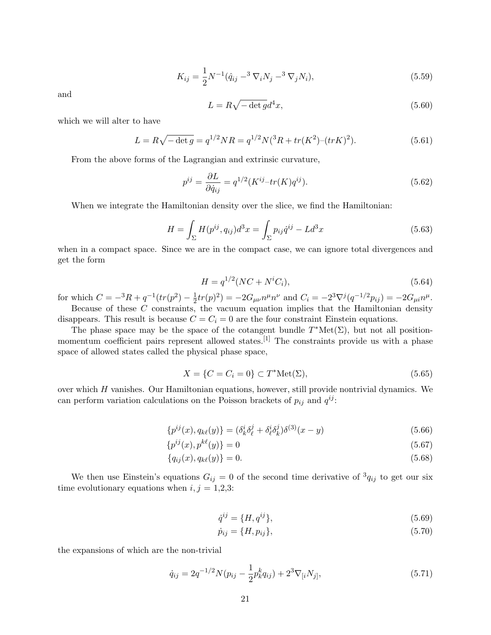$$
K_{ij} = \frac{1}{2} N^{-1} (\hat{q}_{ij} - 3 \nabla_i N_j - 3 \nabla_j N_i), \qquad (5.59)
$$

and

$$
L = R\sqrt{-\det g}d^4x,\tag{5.60}
$$

which we will alter to have

$$
L = R\sqrt{-\det g} = q^{1/2}NR = q^{1/2}N(^{3}R + tr(K^{2})-(trK)^{2}).
$$
\n(5.61)

From the above forms of the Lagrangian and extrinsic curvature,

$$
p^{ij} = \frac{\partial L}{\partial \dot{q}_{ij}} = q^{1/2} (K^{ij} - tr(K)q^{ij}). \tag{5.62}
$$

When we integrate the Hamiltonian density over the slice, we find the Hamiltonian:

$$
H = \int_{\Sigma} H(p^{ij}, q_{ij}) d^3 x = \int_{\Sigma} p_{ij} \dot{q}^{ij} - L d^3 x \tag{5.63}
$$

when in a compact space. Since we are in the compact case, we can ignore total divergences and get the form

$$
H = q^{1/2}(NC + N^{i}C_{i}),
$$
\n(5.64)

for which  $C = -{}^{3}R + q^{-1}(tr(p^{2}) - \frac{1}{2})$  $\frac{1}{2}tr(p)^2 = -2G_{\mu\nu}n^{\mu}n^{\nu}$  and  $C_i = -2^3\nabla^j(q^{-1/2}p_{ij}) = -2G_{\mu i}n^{\mu}$ . Because of these  $C$  constraints, the vacuum equation implies that the Hamiltonian density

disappears. This result is because  $C = C_i = 0$  are the four constraint Einstein equations. The phase space may be the space of the cotangent bundle  $T^*Met(\Sigma)$ , but not all position-

momentum coefficient pairs represent allowed states.<sup>[1]</sup> The constraints provide us with a phase space of allowed states called the physical phase space,

$$
X = \{C = C_i = 0\} \subset T^* \text{Met}(\Sigma),\tag{5.65}
$$

over which  $H$  vanishes. Our Hamiltonian equations, however, still provide nontrivial dynamics. We can perform variation calculations on the Poisson brackets of  $p_{ij}$  and  $q^{ij}$ :

$$
\{p^{ij}(x), q_{k\ell}(y)\} = (\delta^i_k \delta^j_\ell + \delta^i_\ell \delta^j_k) \delta^{(3)}(x - y) \tag{5.66}
$$

$$
\{p^{ij}(x), p^{k\ell}(y)\} = 0\tag{5.67}
$$

$$
\{q_{ij}(x), q_{k\ell}(y)\} = 0.\t\t(5.68)
$$

We then use Einstein's equations  $G_{ij} = 0$  of the second time derivative of  ${}^3q_{ij}$  to get our six time evolutionary equations when  $i, j = 1,2,3$ :

$$
\dot{q}^{ij} = \{H, q^{ij}\},\tag{5.69}
$$

$$
\dot{p}_{ij} = \{H, p_{ij}\},\tag{5.70}
$$

the expansions of which are the non-trivial

$$
\dot{q}_{ij} = 2q^{-1/2}N(p_{ij} - \frac{1}{2}p_k^k q_{ij}) + 2^3 \nabla_{[i} N_{j]},\tag{5.71}
$$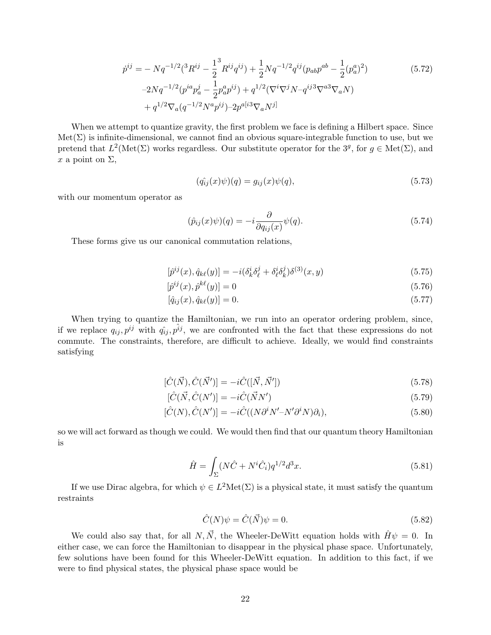$$
\dot{p}^{ij} = -Nq^{-1/2}({}^3R^{ij} - \frac{1}{2}{}^3R^{ij}q^{ij}) + \frac{1}{2}Nq^{-1/2}q^{ij}(p_{ab}p^{ab} - \frac{1}{2}(p_a^a)^2)
$$
\n
$$
-2Nq^{-1/2}(p^{ia}p_a^j - \frac{1}{2}p_a^ap^{ij}) + q^{1/2}(\nabla^i\nabla^jN - q^{ij}{}^3\nabla^a\nabla_aN)
$$
\n
$$
+ q^{1/2}\nabla_a(q^{-1/2}N^ap^{ij}) - 2p^{a[i}{}^3\nabla_aN^j]
$$
\n(5.72)

When we attempt to quantize gravity, the first problem we face is defining a Hilbert space. Since  $\text{Met}(\Sigma)$  is infinite-dimensional, we cannot find an obvious square-integrable function to use, but we pretend that  $L^2(\text{Met}(\Sigma)$  works regardless. Our substitute operator for the 3<sup>g</sup>, for  $g \in \text{Met}(\Sigma)$ , and x a point on  $\Sigma$ ,

$$
(\hat{q}_{ij}(x)\psi)(q) = g_{ij}(x)\psi(q),\tag{5.73}
$$

with our momentum operator as

$$
(\hat{p}_{ij}(x)\psi)(q) = -i\frac{\partial}{\partial q_{ij}(x)}\psi(q). \tag{5.74}
$$

These forms give us our canonical commutation relations,

$$
[\hat{p}^{ij}(x), \hat{q}_{k\ell}(y)] = -i(\delta^i_k \delta^j_\ell + \delta^i_\ell \delta^j_k) \delta^{(3)}(x, y)
$$
\n(5.75)

$$
[\hat{p}^{ij}(x), \hat{p}^{k\ell}(y)] = 0\tag{5.76}
$$

$$
[\hat{q}_{ij}(x), \hat{q}_{k\ell}(y)] = 0. \tag{5.77}
$$

When trying to quantize the Hamiltonian, we run into an operator ordering problem, since, if we replace  $q_{ij}, p^{ij}$  with  $q_{ij}, p^{ij}$ , we are confronted with the fact that these expressions do not commute. The constraints, therefore, are difficult to achieve. Ideally, we would find constraints satisfying

$$
[\hat{C}(\vec{N}), \hat{C}(\vec{N}')] = -i\hat{C}([\vec{N}, \vec{N}'])
$$
\n(5.78)

$$
[\hat{C}(\vec{N}, \hat{C}(N')] = -i\hat{C}(\vec{N}N') \tag{5.79}
$$

$$
[\hat{C}(N), \hat{C}(N')] = -i\hat{C}((N\partial^i N' - N'\partial^i N)\partial_i),\tag{5.80}
$$

so we will act forward as though we could. We would then find that our quantum theory Hamiltonian is

$$
\hat{H} = \int_{\Sigma} (N\hat{C} + N^i \hat{C}_i) q^{1/2} d^3 x.
$$
\n(5.81)

If we use Dirac algebra, for which  $\psi \in L^2\mathrm{Met}(\Sigma)$  is a physical state, it must satisfy the quantum restraints

$$
\hat{C}(N)\psi = \hat{C}(\vec{N})\psi = 0.
$$
\n(5.82)

We could also say that, for all  $N, \vec{N}$ , the Wheeler-DeWitt equation holds with  $\hat{H}\psi = 0$ . In either case, we can force the Hamiltonian to disappear in the physical phase space. Unfortunately, few solutions have been found for this Wheeler-DeWitt equation. In addition to this fact, if we were to find physical states, the physical phase space would be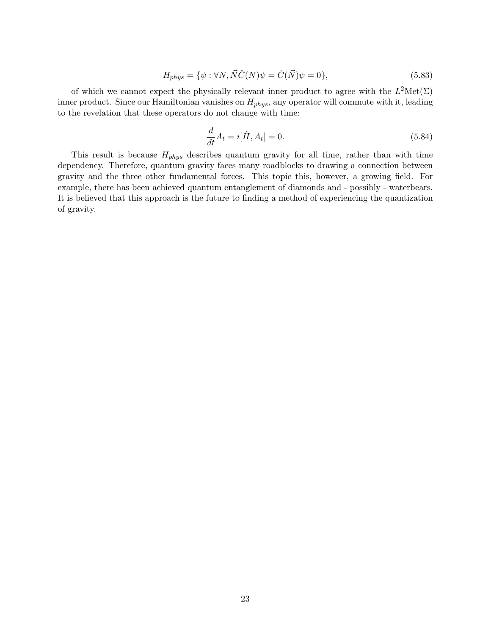$$
H_{phys} = \{ \psi : \forall N, \vec{N} \hat{C}(N) \psi = \hat{C}(\vec{N}) \psi = 0 \},\tag{5.83}
$$

of which we cannot expect the physically relevant inner product to agree with the  $L^2\mathrm{Met}(\Sigma)$ inner product. Since our Hamiltonian vanishes on  $H_{phys}$ , any operator will commute with it, leading to the revelation that these operators do not change with time:

$$
\frac{d}{dt}A_t = i[\hat{H}, A_t] = 0.
$$
\n(5.84)

This result is because  $H_{phys}$  describes quantum gravity for all time, rather than with time dependency. Therefore, quantum gravity faces many roadblocks to drawing a connection between gravity and the three other fundamental forces. This topic this, however, a growing field. For example, there has been achieved quantum entanglement of diamonds and - possibly - waterbears. It is believed that this approach is the future to finding a method of experiencing the quantization of gravity.